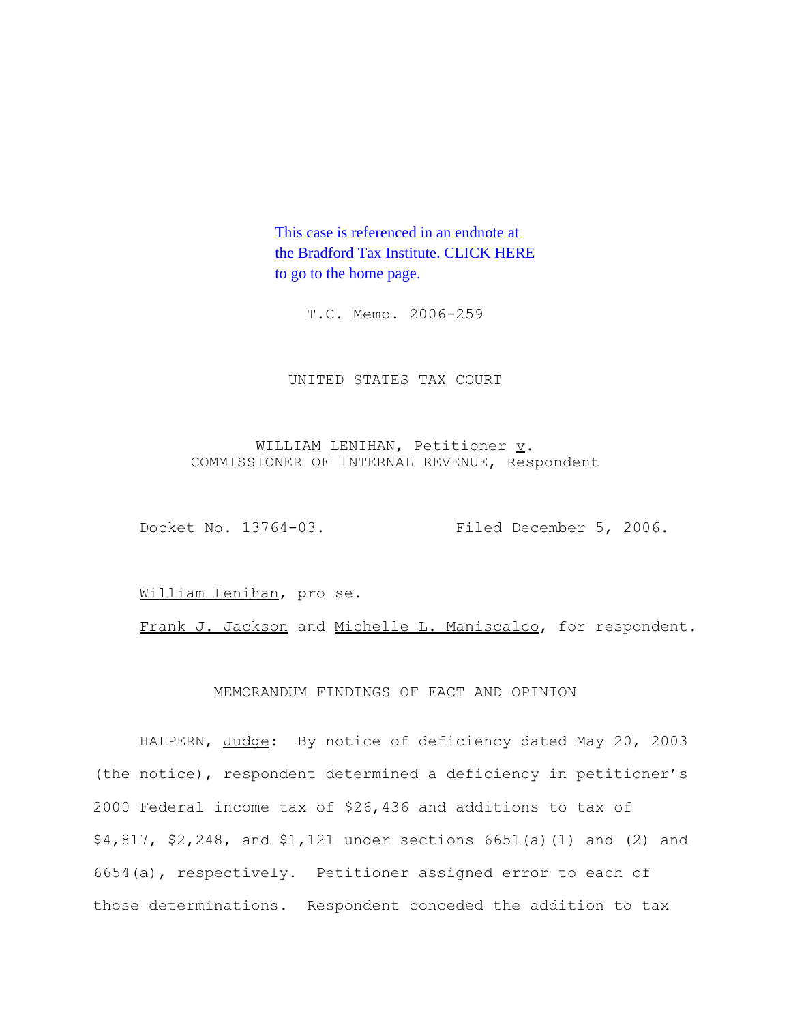This case is referenced in an endnote at [the Bradford Tax Institute. CLICK HERE](http://www.bradfordtaxinstitute.com/)  to go to the home page.

T.C. Memo. 2006-259

UNITED STATES TAX COURT

WILLIAM LENIHAN, Petitioner  $\underline{v}$ . COMMISSIONER OF INTERNAL REVENUE, Respondent

Docket No. 13764-03. Filed December 5, 2006.

William Lenihan, pro se.

Frank J. Jackson and Michelle L. Maniscalco, for respondent.

MEMORANDUM FINDINGS OF FACT AND OPINION

HALPERN, Judge: By notice of deficiency dated May 20, 2003 (the notice), respondent determined a deficiency in petitioner's 2000 Federal income tax of \$26,436 and additions to tax of \$4,817, \$2,248, and \$1,121 under sections 6651(a)(1) and (2) and 6654(a), respectively. Petitioner assigned error to each of those determinations. Respondent conceded the addition to tax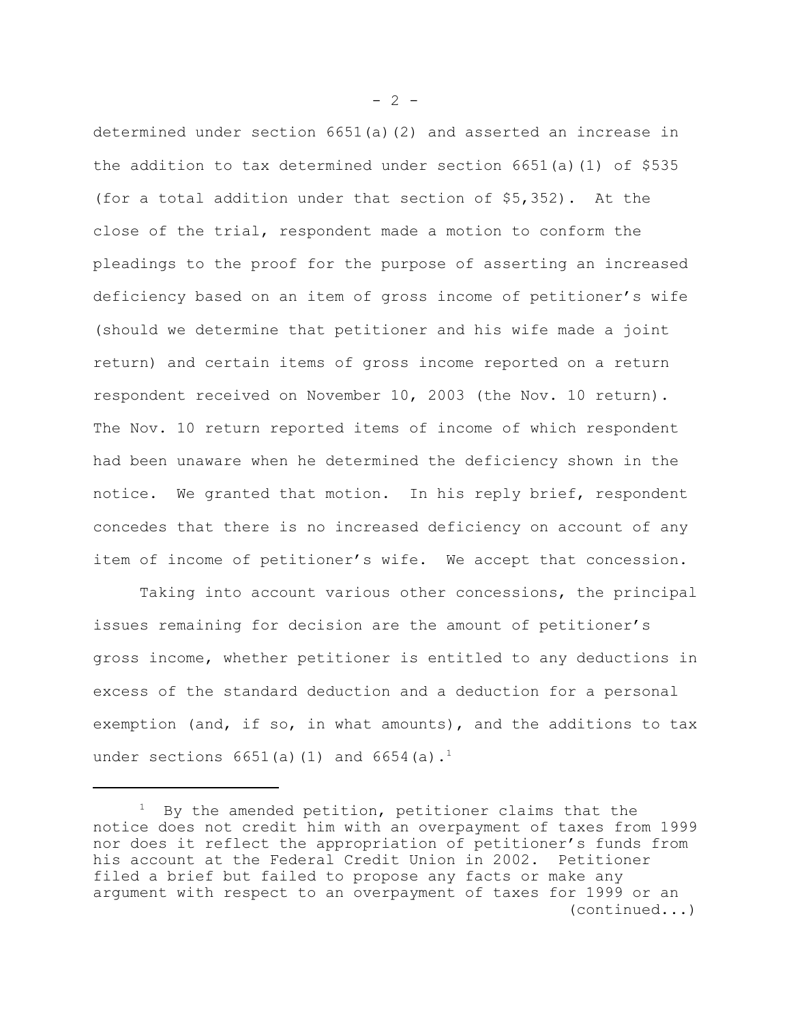determined under section 6651(a)(2) and asserted an increase in the addition to tax determined under section 6651(a)(1) of \$535 (for a total addition under that section of \$5,352). At the close of the trial, respondent made a motion to conform the pleadings to the proof for the purpose of asserting an increased deficiency based on an item of gross income of petitioner's wife (should we determine that petitioner and his wife made a joint return) and certain items of gross income reported on a return respondent received on November 10, 2003 (the Nov. 10 return). The Nov. 10 return reported items of income of which respondent had been unaware when he determined the deficiency shown in the notice. We granted that motion. In his reply brief, respondent concedes that there is no increased deficiency on account of any item of income of petitioner's wife. We accept that concession.

Taking into account various other concessions, the principal issues remaining for decision are the amount of petitioner's gross income, whether petitioner is entitled to any deductions in excess of the standard deduction and a deduction for a personal exemption (and, if so, in what amounts), and the additions to tax under sections  $6651(a)(1)$  and  $6654(a).$ <sup>1</sup>

 $- 2 -$ 

 $1$  By the amended petition, petitioner claims that the notice does not credit him with an overpayment of taxes from 1999 nor does it reflect the appropriation of petitioner's funds from his account at the Federal Credit Union in 2002. Petitioner filed a brief but failed to propose any facts or make any argument with respect to an overpayment of taxes for 1999 or an (continued...)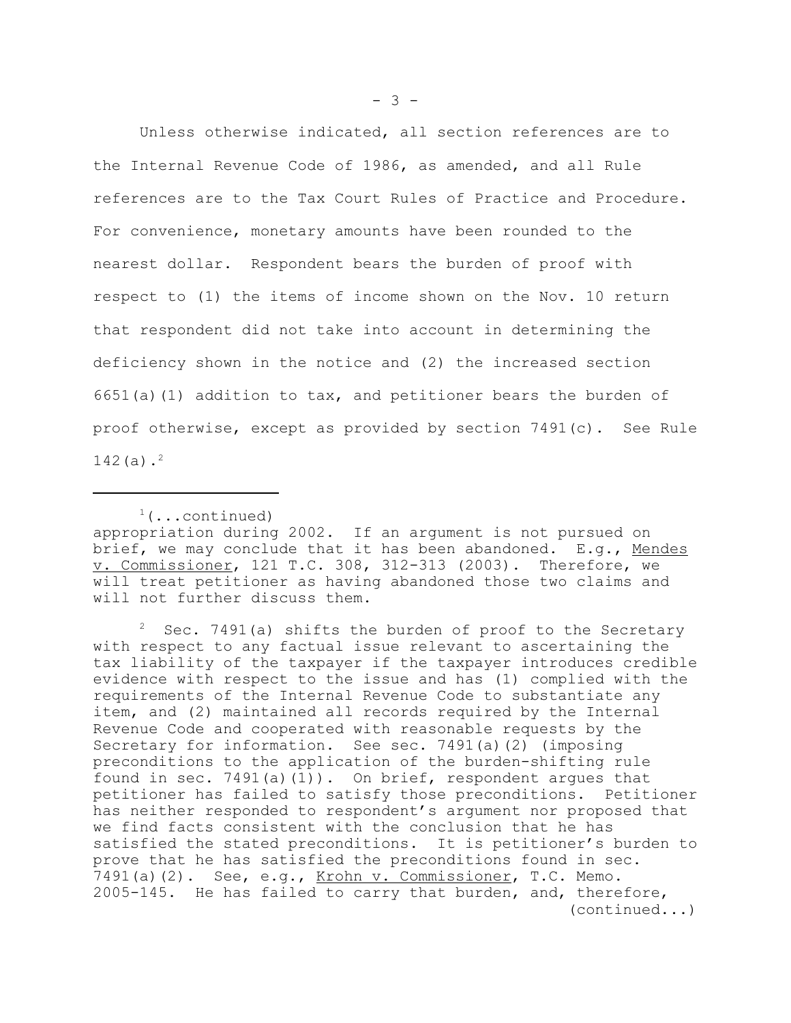Unless otherwise indicated, all section references are to the Internal Revenue Code of 1986, as amended, and all Rule references are to the Tax Court Rules of Practice and Procedure. For convenience, monetary amounts have been rounded to the nearest dollar. Respondent bears the burden of proof with respect to (1) the items of income shown on the Nov. 10 return that respondent did not take into account in determining the deficiency shown in the notice and (2) the increased section  $6651(a)(1)$  addition to tax, and petitioner bears the burden of proof otherwise, except as provided by section 7491(c). See Rule 142(a) $.^2$ 

 $1$ (...continued) appropriation during 2002. If an argument is not pursued on brief, we may conclude that it has been abandoned. E.g., Mendes v. Commissioner, 121 T.C. 308, 312-313 (2003). Therefore, we will treat petitioner as having abandoned those two claims and will not further discuss them.

Sec. 7491(a) shifts the burden of proof to the Secretary with respect to any factual issue relevant to ascertaining the tax liability of the taxpayer if the taxpayer introduces credible evidence with respect to the issue and has (1) complied with the requirements of the Internal Revenue Code to substantiate any item, and (2) maintained all records required by the Internal Revenue Code and cooperated with reasonable requests by the Secretary for information. See sec. 7491(a)(2) (imposing preconditions to the application of the burden-shifting rule found in sec.  $7491(a)(1)$ . On brief, respondent argues that petitioner has failed to satisfy those preconditions. Petitioner has neither responded to respondent's argument nor proposed that we find facts consistent with the conclusion that he has satisfied the stated preconditions. It is petitioner's burden to prove that he has satisfied the preconditions found in sec. 7491(a)(2). See, e.g., Krohn v. Commissioner, T.C. Memo. 2005-145. He has failed to carry that burden, and, therefore, (continued...)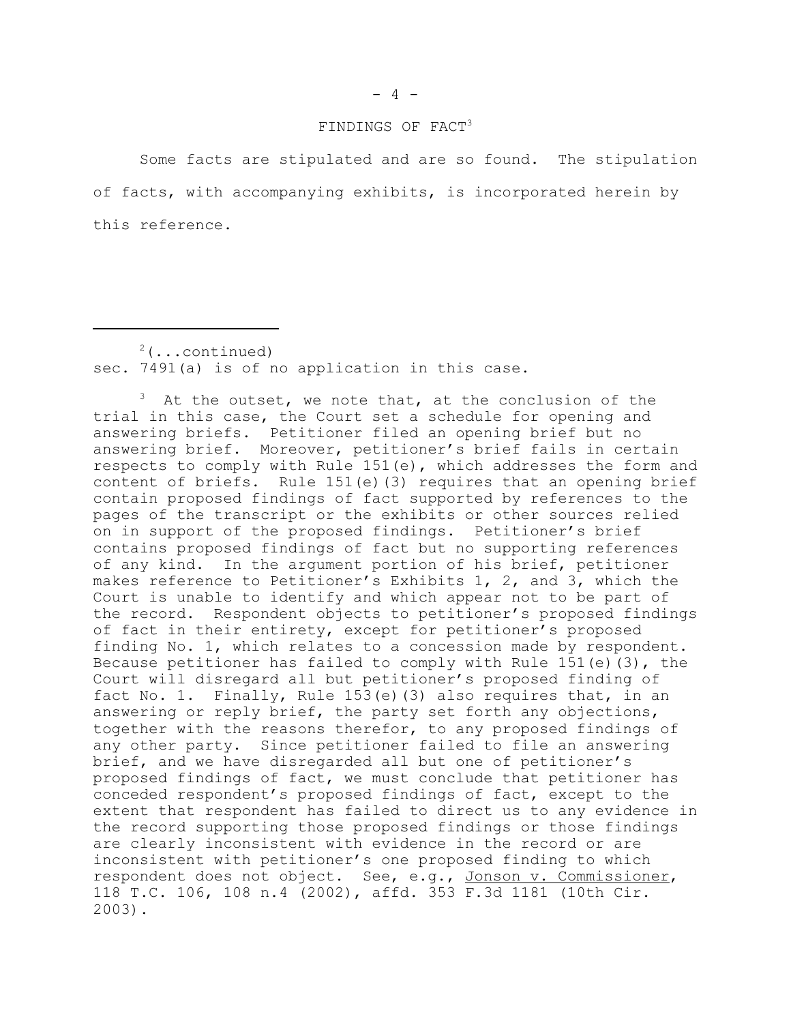### FINDINGS OF FACT<sup>3</sup>

Some facts are stipulated and are so found. The stipulation of facts, with accompanying exhibits, is incorporated herein by this reference.

 $2$ (...continued) sec. 7491(a) is of no application in this case.

 $3$  At the outset, we note that, at the conclusion of the trial in this case, the Court set a schedule for opening and answering briefs. Petitioner filed an opening brief but no answering brief. Moreover, petitioner's brief fails in certain respects to comply with Rule 151(e), which addresses the form and content of briefs. Rule 151(e)(3) requires that an opening brief contain proposed findings of fact supported by references to the pages of the transcript or the exhibits or other sources relied on in support of the proposed findings. Petitioner's brief contains proposed findings of fact but no supporting references of any kind. In the argument portion of his brief, petitioner makes reference to Petitioner's Exhibits 1, 2, and 3, which the Court is unable to identify and which appear not to be part of the record. Respondent objects to petitioner's proposed findings of fact in their entirety, except for petitioner's proposed finding No. 1, which relates to a concession made by respondent. Because petitioner has failed to comply with Rule  $151(e)$  (3), the Court will disregard all but petitioner's proposed finding of fact No. 1. Finally, Rule 153(e)(3) also requires that, in an answering or reply brief, the party set forth any objections, together with the reasons therefor, to any proposed findings of any other party. Since petitioner failed to file an answering brief, and we have disregarded all but one of petitioner's proposed findings of fact, we must conclude that petitioner has conceded respondent's proposed findings of fact, except to the extent that respondent has failed to direct us to any evidence in the record supporting those proposed findings or those findings are clearly inconsistent with evidence in the record or are inconsistent with petitioner's one proposed finding to which respondent does not object. See, e.g., Jonson v. Commissioner, 118 T.C. 106, 108 n.4 (2002), affd. 353 F.3d 1181 (10th Cir. 2003).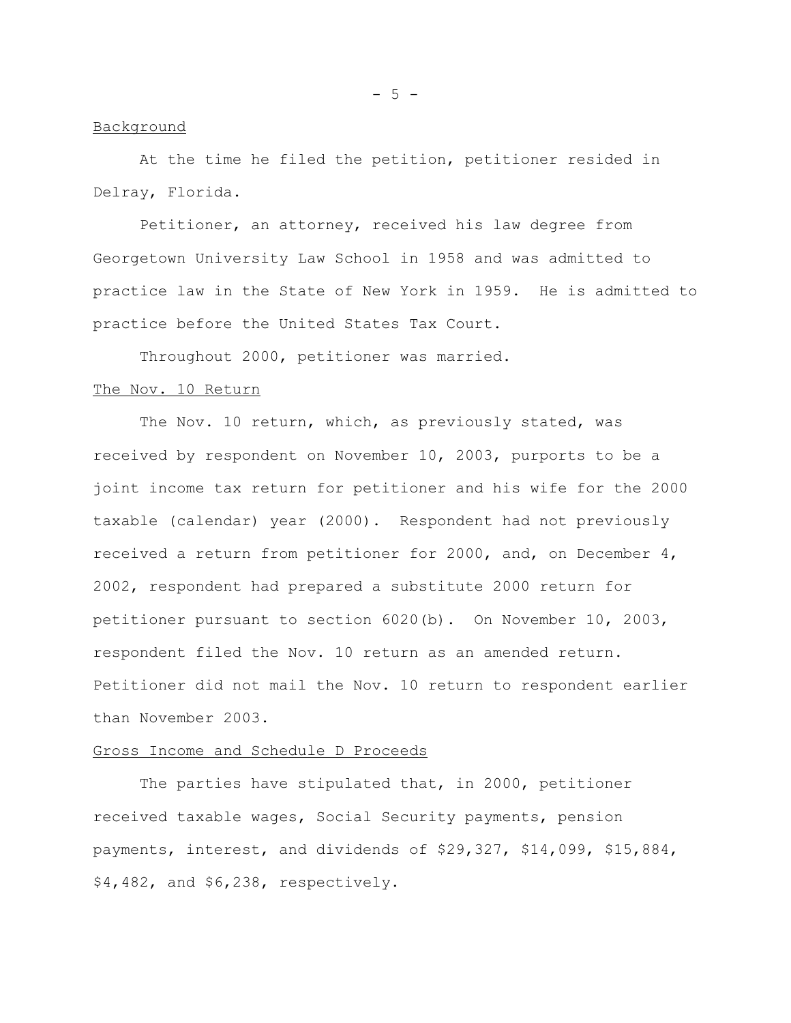#### $-5 -$

### Background

At the time he filed the petition, petitioner resided in Delray, Florida.

Petitioner, an attorney, received his law degree from Georgetown University Law School in 1958 and was admitted to practice law in the State of New York in 1959. He is admitted to practice before the United States Tax Court.

Throughout 2000, petitioner was married.

#### The Nov. 10 Return

The Nov. 10 return, which, as previously stated, was received by respondent on November 10, 2003, purports to be a joint income tax return for petitioner and his wife for the 2000 taxable (calendar) year (2000). Respondent had not previously received a return from petitioner for 2000, and, on December 4, 2002, respondent had prepared a substitute 2000 return for petitioner pursuant to section 6020(b). On November 10, 2003, respondent filed the Nov. 10 return as an amended return. Petitioner did not mail the Nov. 10 return to respondent earlier than November 2003.

#### Gross Income and Schedule D Proceeds

The parties have stipulated that, in 2000, petitioner received taxable wages, Social Security payments, pension payments, interest, and dividends of \$29,327, \$14,099, \$15,884, \$4,482, and \$6,238, respectively.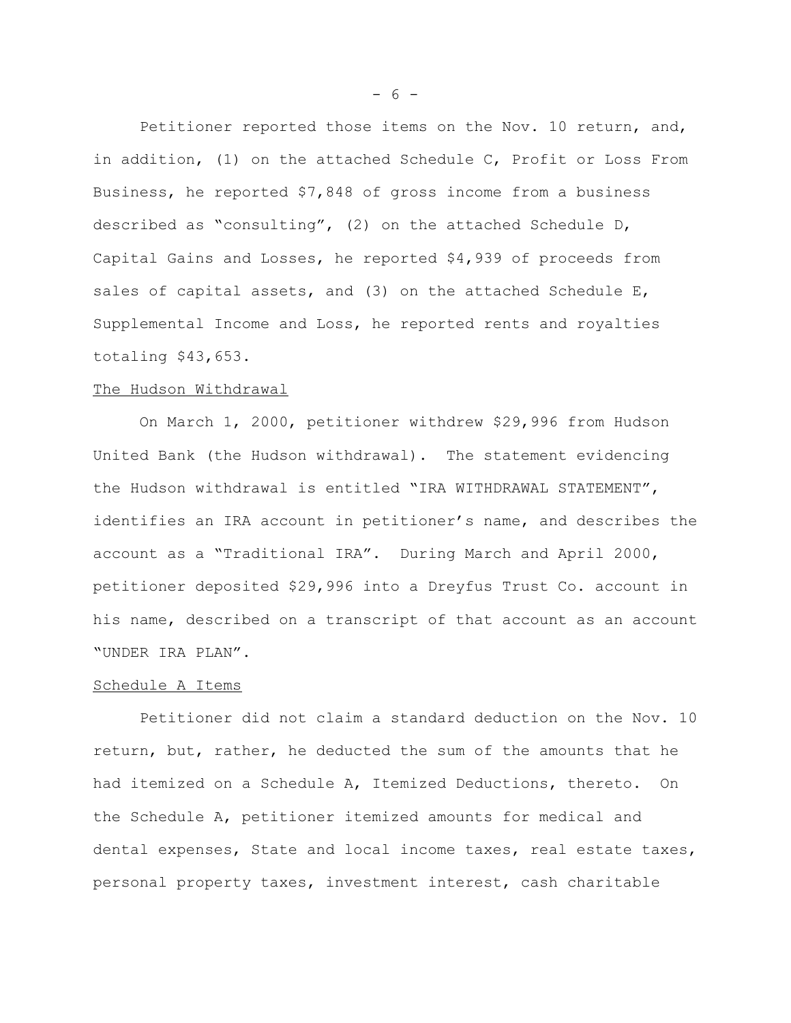Petitioner reported those items on the Nov. 10 return, and, in addition, (1) on the attached Schedule C, Profit or Loss From Business, he reported \$7,848 of gross income from a business described as "consulting", (2) on the attached Schedule D, Capital Gains and Losses, he reported \$4,939 of proceeds from sales of capital assets, and (3) on the attached Schedule E, Supplemental Income and Loss, he reported rents and royalties totaling \$43,653.

#### The Hudson Withdrawal

On March 1, 2000, petitioner withdrew \$29,996 from Hudson United Bank (the Hudson withdrawal). The statement evidencing the Hudson withdrawal is entitled "IRA WITHDRAWAL STATEMENT", identifies an IRA account in petitioner's name, and describes the account as a "Traditional IRA". During March and April 2000, petitioner deposited \$29,996 into a Dreyfus Trust Co. account in his name, described on a transcript of that account as an account "UNDER IRA PLAN".

#### Schedule A Items

Petitioner did not claim a standard deduction on the Nov. 10 return, but, rather, he deducted the sum of the amounts that he had itemized on a Schedule A, Itemized Deductions, thereto. On the Schedule A, petitioner itemized amounts for medical and dental expenses, State and local income taxes, real estate taxes, personal property taxes, investment interest, cash charitable

- 6 -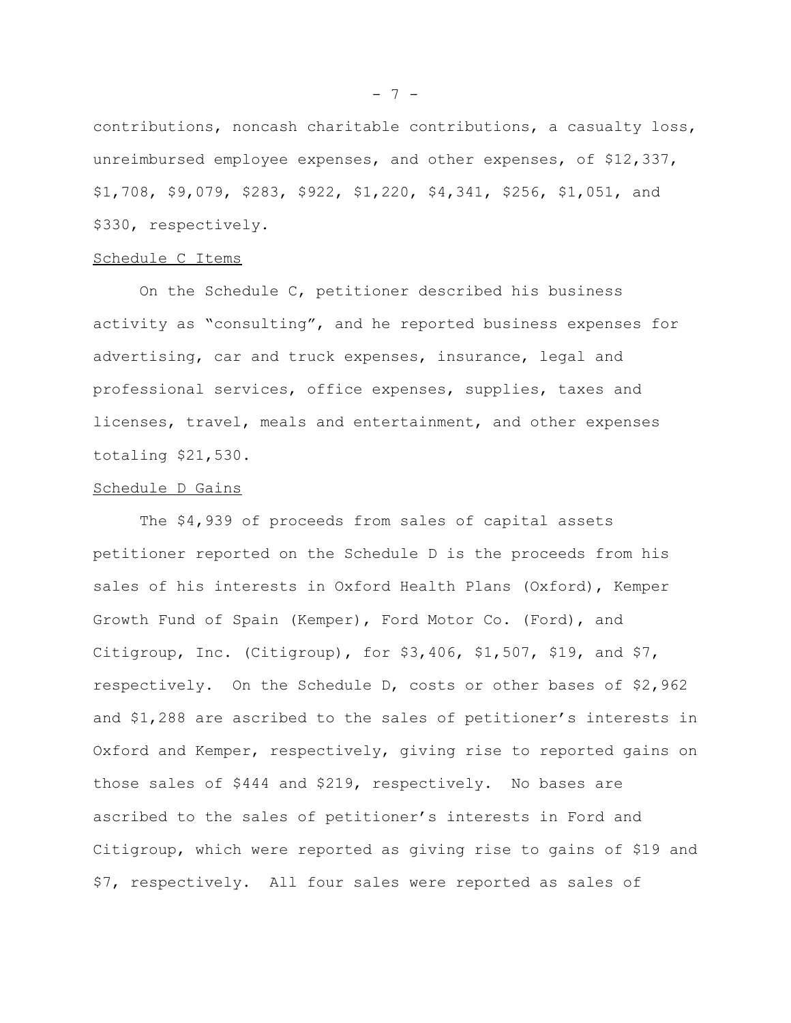contributions, noncash charitable contributions, a casualty loss, unreimbursed employee expenses, and other expenses, of \$12,337, \$1,708, \$9,079, \$283, \$922, \$1,220, \$4,341, \$256, \$1,051, and \$330, respectively.

#### Schedule C Items

On the Schedule C, petitioner described his business activity as "consulting", and he reported business expenses for advertising, car and truck expenses, insurance, legal and professional services, office expenses, supplies, taxes and licenses, travel, meals and entertainment, and other expenses totaling \$21,530.

#### Schedule D Gains

The \$4,939 of proceeds from sales of capital assets petitioner reported on the Schedule D is the proceeds from his sales of his interests in Oxford Health Plans (Oxford), Kemper Growth Fund of Spain (Kemper), Ford Motor Co. (Ford), and Citigroup, Inc. (Citigroup), for \$3,406, \$1,507, \$19, and \$7, respectively. On the Schedule D, costs or other bases of \$2,962 and \$1,288 are ascribed to the sales of petitioner's interests in Oxford and Kemper, respectively, giving rise to reported gains on those sales of \$444 and \$219, respectively. No bases are ascribed to the sales of petitioner's interests in Ford and Citigroup, which were reported as giving rise to gains of \$19 and \$7, respectively. All four sales were reported as sales of

- 7 -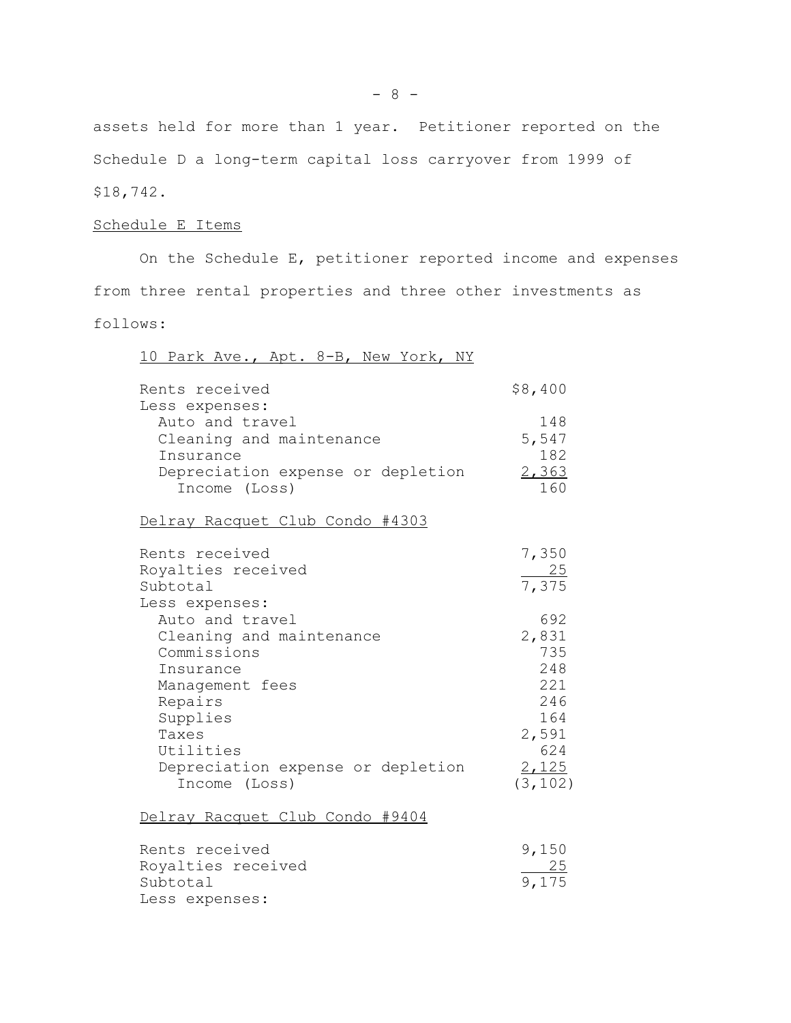assets held for more than 1 year. Petitioner reported on the Schedule D a long-term capital loss carryover from 1999 of \$18,742.

# Schedule E Items

On the Schedule E, petitioner reported income and expenses from three rental properties and three other investments as follows:

| 10 Park Ave., Apt. 8-B, New York, NY                                                                                                                                                          |                                                                                      |
|-----------------------------------------------------------------------------------------------------------------------------------------------------------------------------------------------|--------------------------------------------------------------------------------------|
| Rents received                                                                                                                                                                                | \$8,400                                                                              |
| Less expenses:<br>Auto and travel<br>Cleaning and maintenance<br>Insurance<br>Depreciation expense or depletion<br>Income (Loss)                                                              | 148<br>5,547<br>182<br>2,363<br>160                                                  |
| Delray Racquet Club Condo #4303                                                                                                                                                               |                                                                                      |
| Rents received<br>Royalties received<br>Subtotal<br>Less expenses:                                                                                                                            | 7,350<br>$\frac{25}{7,375}$                                                          |
| Auto and travel<br>Cleaning and maintenance<br>Commissions<br>Insurance<br>Management fees<br>Repairs<br>Supplies<br>Taxes<br>Utilities<br>Depreciation expense or depletion<br>Income (Loss) | 692<br>2,831<br>735<br>248<br>221<br>246<br>164<br>2,591<br>624<br>2,125<br>(3, 102) |
| Delray Racquet Club Condo #9404                                                                                                                                                               |                                                                                      |
| Rents received<br>Royalties received<br>Subtotal<br>Less expenses:                                                                                                                            | 9,150<br>$\frac{25}{9,175}$                                                          |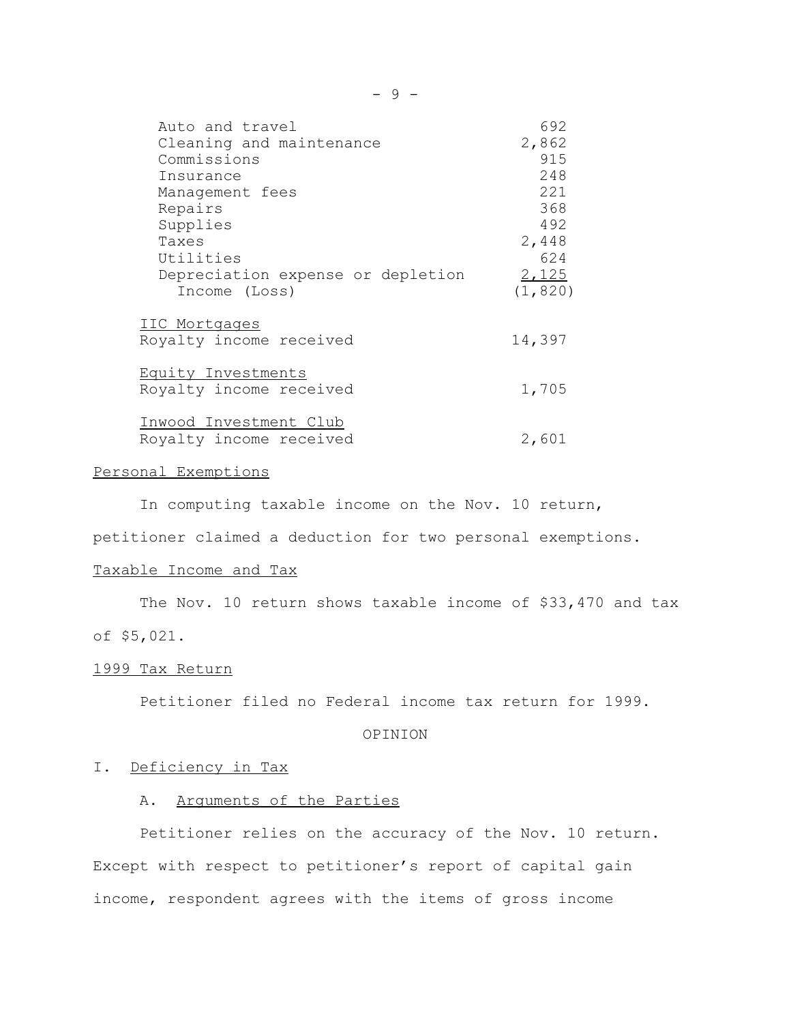| Auto and travel                   | 692      |
|-----------------------------------|----------|
| Cleaning and maintenance          | 2,862    |
| Commissions                       | 915      |
| Insurance                         | 248      |
| Management fees                   | 221      |
| Repairs                           | 368      |
| Supplies                          | 492      |
| Taxes                             | 2,448    |
| Utilities                         | 624      |
| Depreciation expense or depletion | 2,125    |
| Income (Loss)                     | (1, 820) |
| IIC Mortgages                     |          |
| Royalty income received           | 14,397   |
| Equity Investments                |          |
| Royalty income received           | 1,705    |
| Inwood Investment Club            |          |
| Royalty income received           | 2,601    |

### Personal Exemptions

In computing taxable income on the Nov. 10 return,

petitioner claimed a deduction for two personal exemptions.

# Taxable Income and Tax

The Nov. 10 return shows taxable income of \$33,470 and tax of \$5,021.

# 1999 Tax Return

Petitioner filed no Federal income tax return for 1999.

# OPINION

### I. Deficiency in Tax

### A. Arguments of the Parties

Petitioner relies on the accuracy of the Nov. 10 return. Except with respect to petitioner's report of capital gain income, respondent agrees with the items of gross income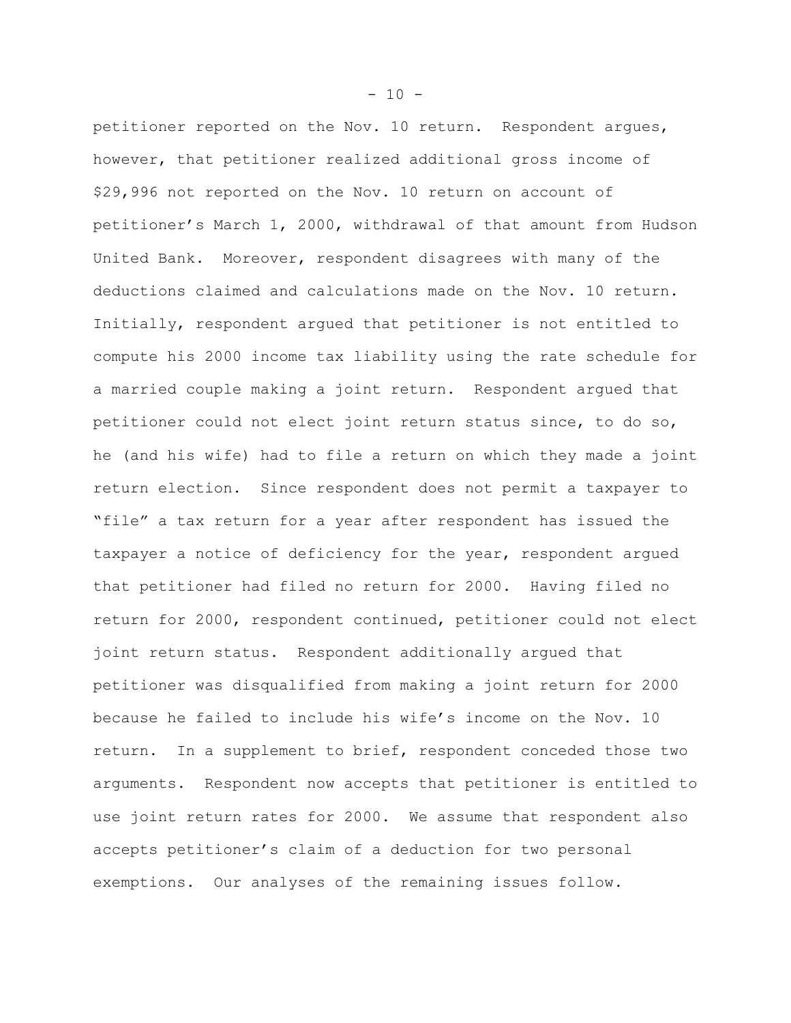petitioner reported on the Nov. 10 return. Respondent argues, however, that petitioner realized additional gross income of \$29,996 not reported on the Nov. 10 return on account of petitioner's March 1, 2000, withdrawal of that amount from Hudson United Bank. Moreover, respondent disagrees with many of the deductions claimed and calculations made on the Nov. 10 return. Initially, respondent argued that petitioner is not entitled to compute his 2000 income tax liability using the rate schedule for a married couple making a joint return. Respondent argued that petitioner could not elect joint return status since, to do so, he (and his wife) had to file a return on which they made a joint return election. Since respondent does not permit a taxpayer to "file" a tax return for a year after respondent has issued the taxpayer a notice of deficiency for the year, respondent argued that petitioner had filed no return for 2000. Having filed no return for 2000, respondent continued, petitioner could not elect joint return status. Respondent additionally argued that petitioner was disqualified from making a joint return for 2000 because he failed to include his wife's income on the Nov. 10 return. In a supplement to brief, respondent conceded those two arguments. Respondent now accepts that petitioner is entitled to use joint return rates for 2000. We assume that respondent also accepts petitioner's claim of a deduction for two personal exemptions. Our analyses of the remaining issues follow.

 $-10 -$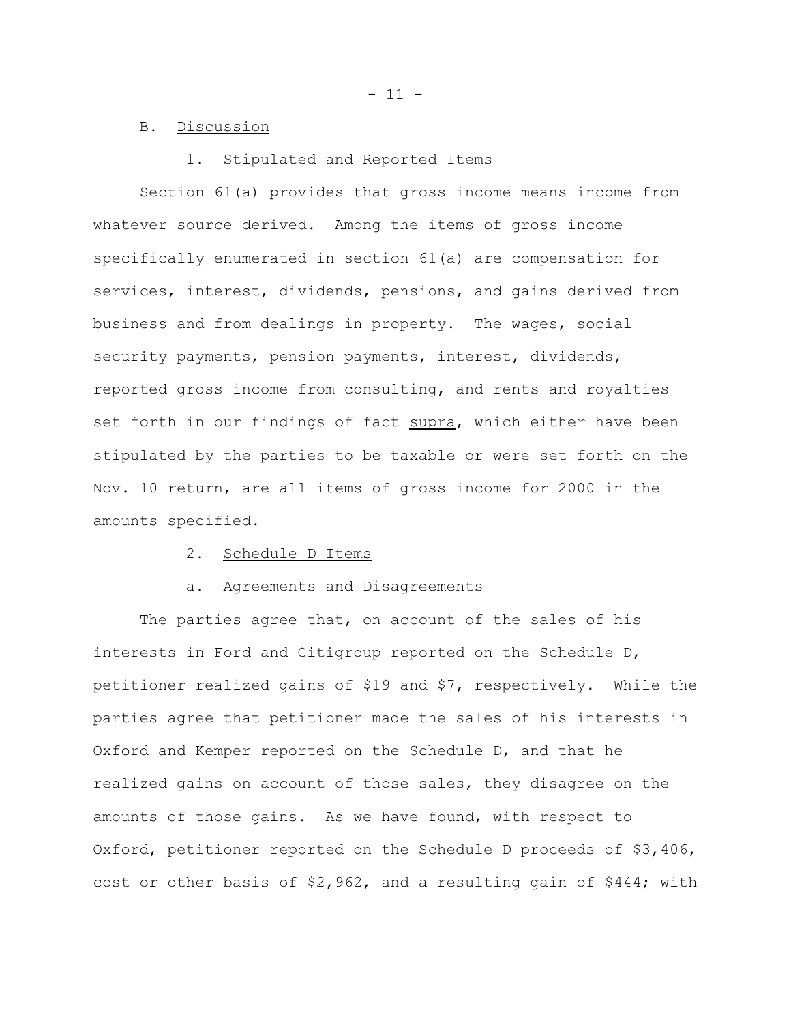- 11 -

### B. Discussion

#### 1. Stipulated and Reported Items

Section 61(a) provides that gross income means income from whatever source derived. Among the items of gross income specifically enumerated in section 61(a) are compensation for services, interest, dividends, pensions, and gains derived from business and from dealings in property. The wages, social security payments, pension payments, interest, dividends, reported gross income from consulting, and rents and royalties set forth in our findings of fact supra, which either have been stipulated by the parties to be taxable or were set forth on the Nov. 10 return, are all items of gross income for 2000 in the amounts specified.

### 2. Schedule D Items

#### a. Agreements and Disagreements

The parties agree that, on account of the sales of his interests in Ford and Citigroup reported on the Schedule D, petitioner realized gains of \$19 and \$7, respectively. While the parties agree that petitioner made the sales of his interests in Oxford and Kemper reported on the Schedule D, and that he realized gains on account of those sales, they disagree on the amounts of those gains. As we have found, with respect to Oxford, petitioner reported on the Schedule D proceeds of \$3,406, cost or other basis of  $$2,962$ , and a resulting gain of  $$444$ ; with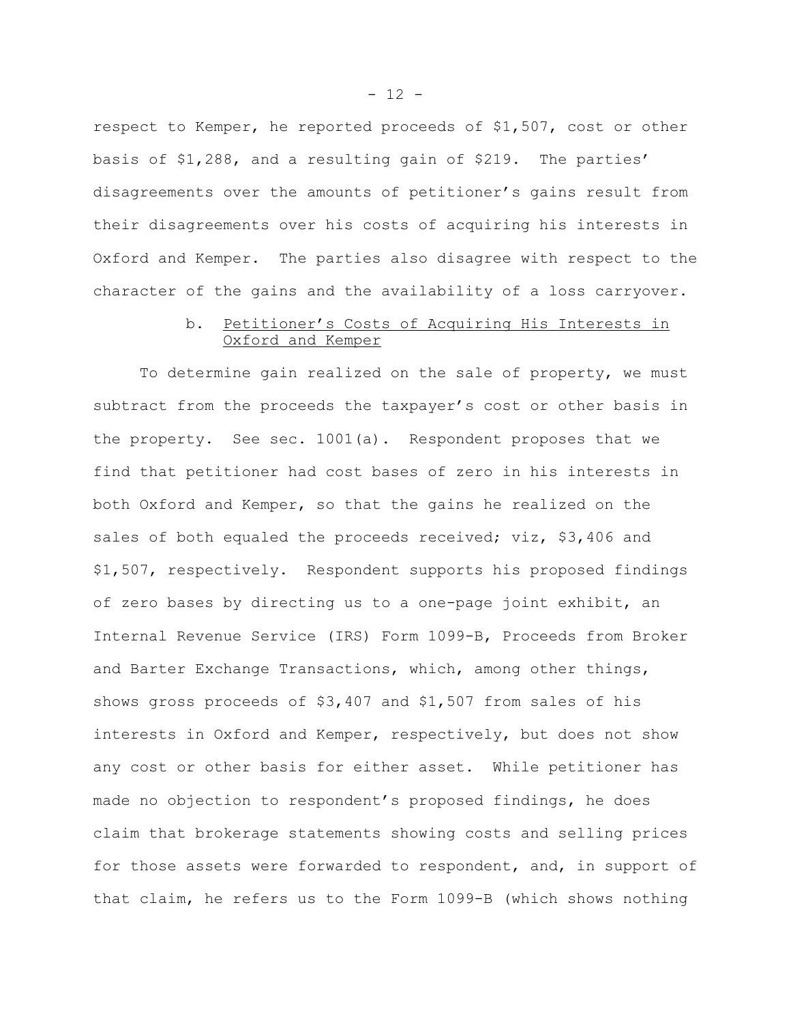respect to Kemper, he reported proceeds of \$1,507, cost or other basis of \$1,288, and a resulting gain of \$219. The parties' disagreements over the amounts of petitioner's gains result from their disagreements over his costs of acquiring his interests in Oxford and Kemper. The parties also disagree with respect to the character of the gains and the availability of a loss carryover.

# b. Petitioner's Costs of Acquiring His Interests in Oxford and Kemper

To determine gain realized on the sale of property, we must subtract from the proceeds the taxpayer's cost or other basis in the property. See sec. 1001(a). Respondent proposes that we find that petitioner had cost bases of zero in his interests in both Oxford and Kemper, so that the gains he realized on the sales of both equaled the proceeds received; viz, \$3,406 and \$1,507, respectively. Respondent supports his proposed findings of zero bases by directing us to a one-page joint exhibit, an Internal Revenue Service (IRS) Form 1099-B, Proceeds from Broker and Barter Exchange Transactions, which, among other things, shows gross proceeds of \$3,407 and \$1,507 from sales of his interests in Oxford and Kemper, respectively, but does not show any cost or other basis for either asset. While petitioner has made no objection to respondent's proposed findings, he does claim that brokerage statements showing costs and selling prices for those assets were forwarded to respondent, and, in support of that claim, he refers us to the Form 1099-B (which shows nothing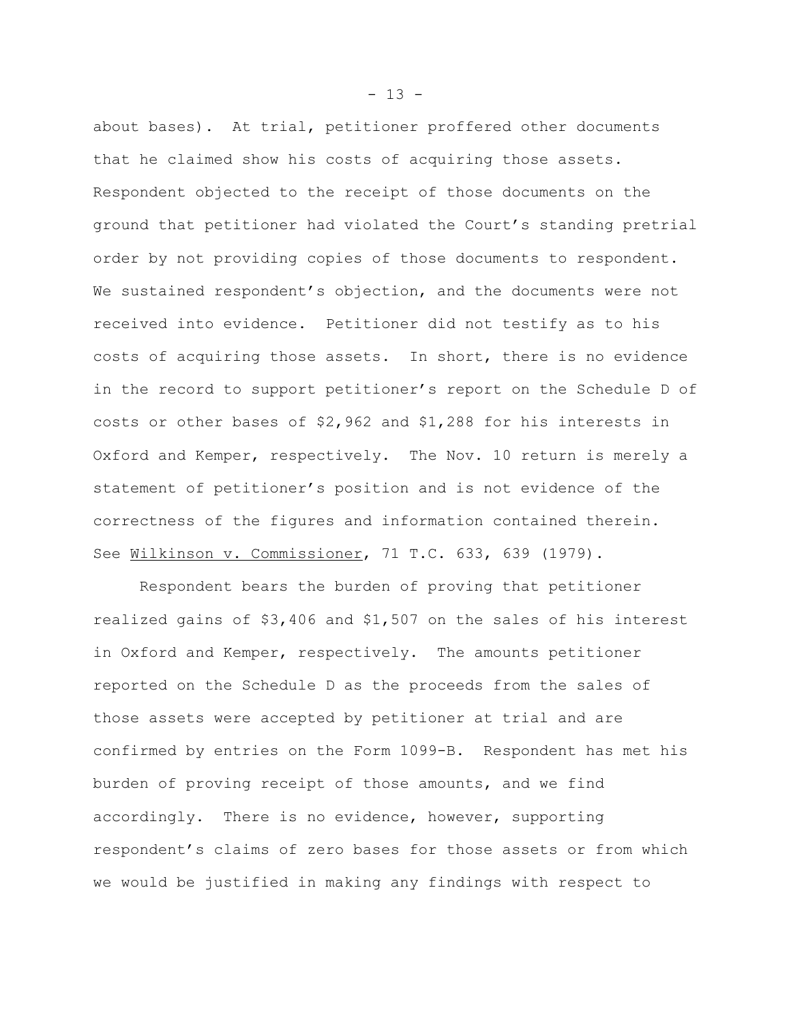about bases). At trial, petitioner proffered other documents that he claimed show his costs of acquiring those assets. Respondent objected to the receipt of those documents on the ground that petitioner had violated the Court's standing pretrial order by not providing copies of those documents to respondent. We sustained respondent's objection, and the documents were not received into evidence. Petitioner did not testify as to his costs of acquiring those assets. In short, there is no evidence in the record to support petitioner's report on the Schedule D of costs or other bases of \$2,962 and \$1,288 for his interests in Oxford and Kemper, respectively. The Nov. 10 return is merely a statement of petitioner's position and is not evidence of the correctness of the figures and information contained therein. See Wilkinson v. Commissioner, 71 T.C. 633, 639 (1979).

Respondent bears the burden of proving that petitioner realized gains of \$3,406 and \$1,507 on the sales of his interest in Oxford and Kemper, respectively. The amounts petitioner reported on the Schedule D as the proceeds from the sales of those assets were accepted by petitioner at trial and are confirmed by entries on the Form 1099-B. Respondent has met his burden of proving receipt of those amounts, and we find accordingly. There is no evidence, however, supporting respondent's claims of zero bases for those assets or from which we would be justified in making any findings with respect to

 $- 13 -$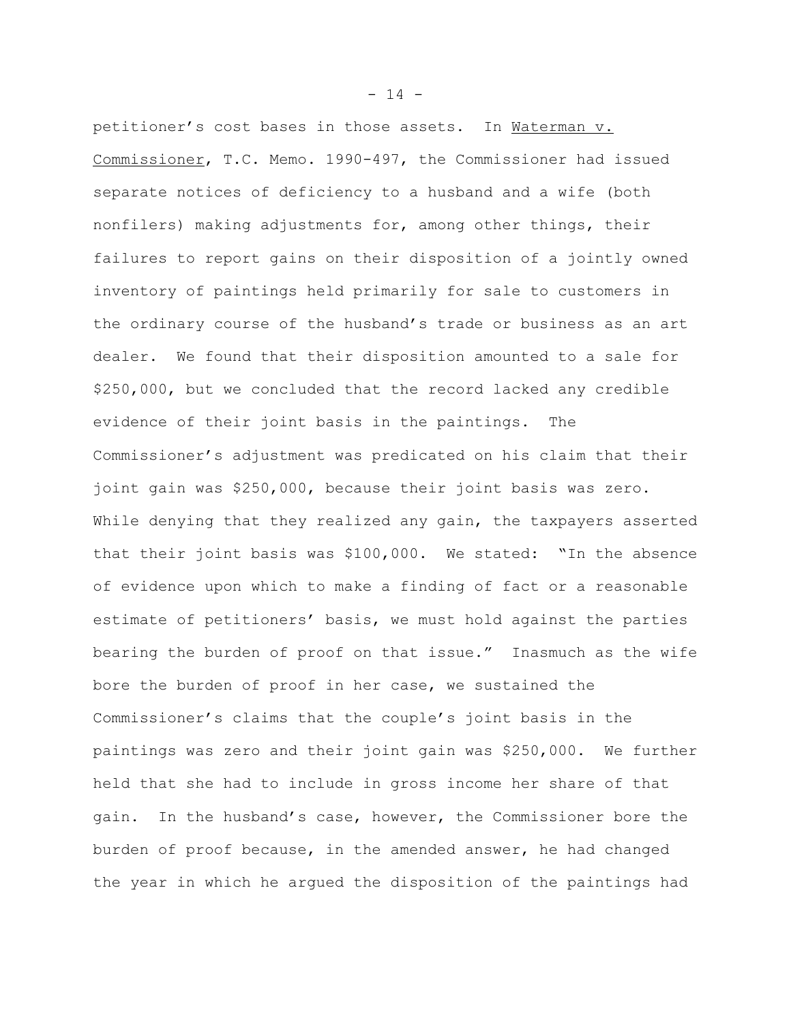petitioner's cost bases in those assets. In Waterman v. Commissioner, T.C. Memo. 1990-497, the Commissioner had issued separate notices of deficiency to a husband and a wife (both nonfilers) making adjustments for, among other things, their failures to report gains on their disposition of a jointly owned inventory of paintings held primarily for sale to customers in the ordinary course of the husband's trade or business as an art dealer. We found that their disposition amounted to a sale for \$250,000, but we concluded that the record lacked any credible evidence of their joint basis in the paintings. The Commissioner's adjustment was predicated on his claim that their joint gain was \$250,000, because their joint basis was zero. While denying that they realized any gain, the taxpayers asserted that their joint basis was \$100,000. We stated: "In the absence of evidence upon which to make a finding of fact or a reasonable estimate of petitioners' basis, we must hold against the parties bearing the burden of proof on that issue." Inasmuch as the wife bore the burden of proof in her case, we sustained the Commissioner's claims that the couple's joint basis in the paintings was zero and their joint gain was \$250,000. We further held that she had to include in gross income her share of that gain. In the husband's case, however, the Commissioner bore the burden of proof because, in the amended answer, he had changed the year in which he argued the disposition of the paintings had

 $- 14 -$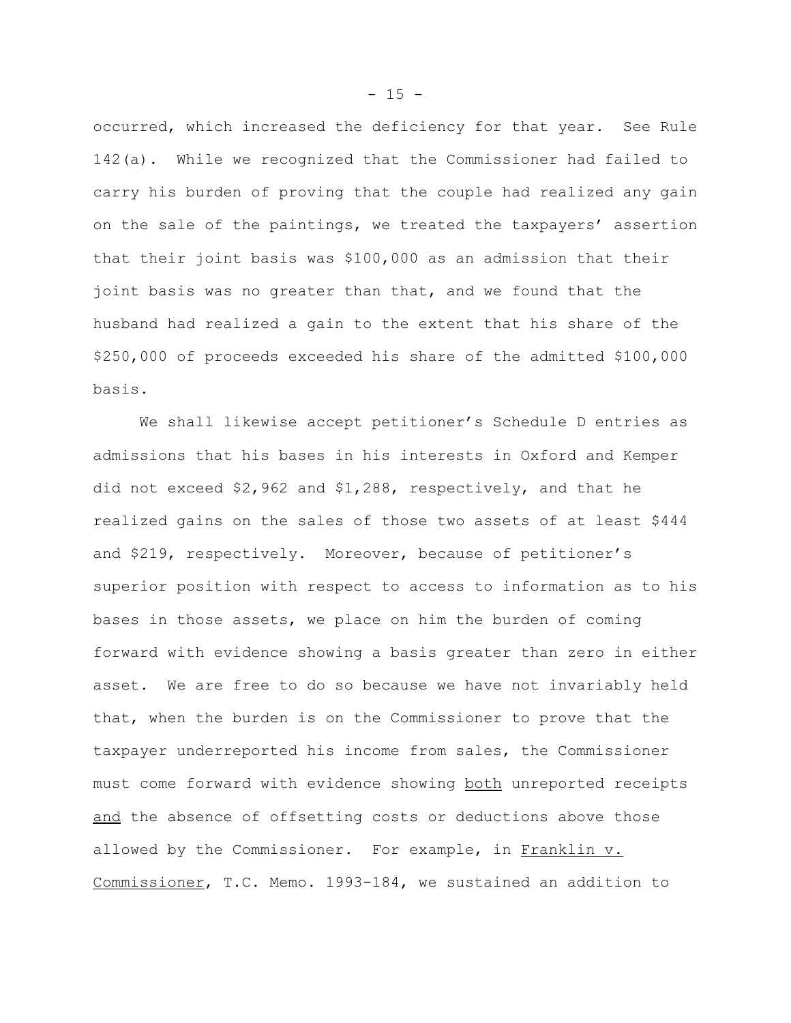occurred, which increased the deficiency for that year. See Rule 142(a). While we recognized that the Commissioner had failed to carry his burden of proving that the couple had realized any gain on the sale of the paintings, we treated the taxpayers' assertion that their joint basis was \$100,000 as an admission that their joint basis was no greater than that, and we found that the husband had realized a gain to the extent that his share of the \$250,000 of proceeds exceeded his share of the admitted \$100,000 basis.

We shall likewise accept petitioner's Schedule D entries as admissions that his bases in his interests in Oxford and Kemper did not exceed \$2,962 and \$1,288, respectively, and that he realized gains on the sales of those two assets of at least \$444 and \$219, respectively. Moreover, because of petitioner's superior position with respect to access to information as to his bases in those assets, we place on him the burden of coming forward with evidence showing a basis greater than zero in either asset. We are free to do so because we have not invariably held that, when the burden is on the Commissioner to prove that the taxpayer underreported his income from sales, the Commissioner must come forward with evidence showing both unreported receipts and the absence of offsetting costs or deductions above those allowed by the Commissioner. For example, in Franklin v. Commissioner, T.C. Memo. 1993-184, we sustained an addition to

 $- 15 -$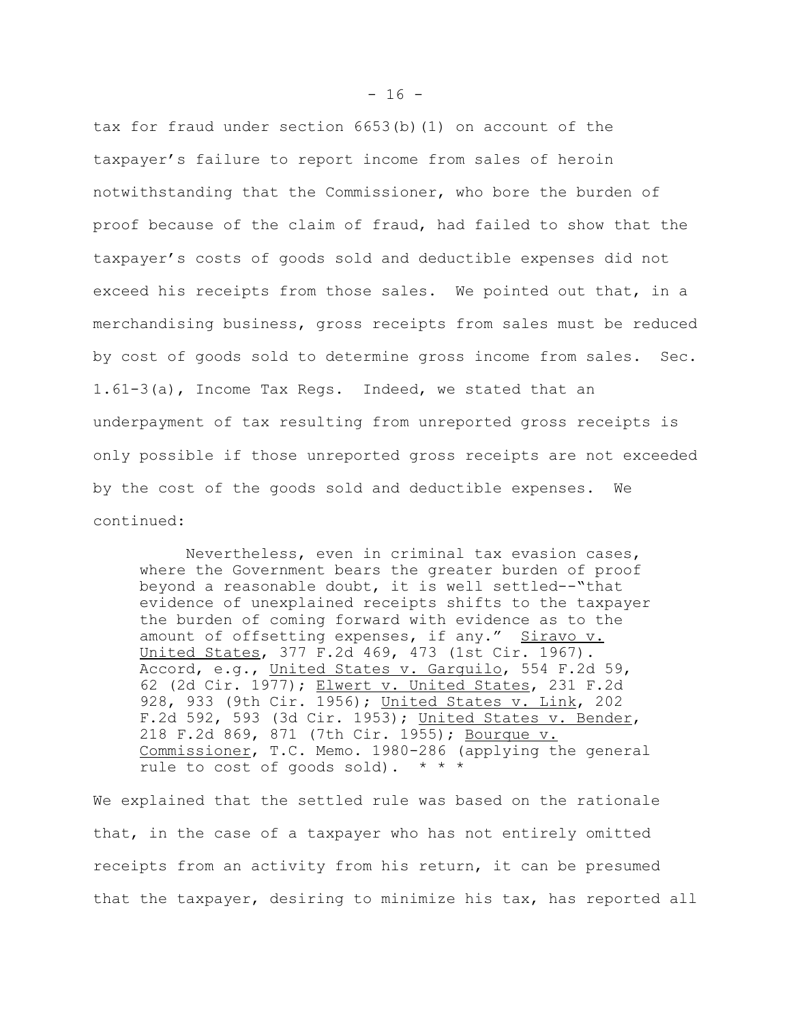tax for fraud under section 6653(b)(1) on account of the taxpayer's failure to report income from sales of heroin notwithstanding that the Commissioner, who bore the burden of proof because of the claim of fraud, had failed to show that the taxpayer's costs of goods sold and deductible expenses did not exceed his receipts from those sales. We pointed out that, in a merchandising business, gross receipts from sales must be reduced by cost of goods sold to determine gross income from sales. Sec. 1.61-3(a), Income Tax Regs. Indeed, we stated that an underpayment of tax resulting from unreported gross receipts is only possible if those unreported gross receipts are not exceeded by the cost of the goods sold and deductible expenses. We continued:

Nevertheless, even in criminal tax evasion cases, where the Government bears the greater burden of proof beyond a reasonable doubt, it is well settled--"that evidence of unexplained receipts shifts to the taxpayer the burden of coming forward with evidence as to the amount of offsetting expenses, if any." Siravo v. United States, 377 F.2d 469, 473 (1st Cir. 1967). Accord, e.g., United States v. Garquilo, 554 F.2d 59, 62 (2d Cir. 1977); Elwert v. United States, 231 F.2d 928, 933 (9th Cir. 1956); United States v. Link, 202 F.2d 592, 593 (3d Cir. 1953); United States v. Bender, 218 F.2d 869, 871 (7th Cir. 1955); Bourque v. Commissioner, T.C. Memo. 1980-286 (applying the general rule to cost of goods sold).  $* * *$ 

We explained that the settled rule was based on the rationale that, in the case of a taxpayer who has not entirely omitted receipts from an activity from his return, it can be presumed that the taxpayer, desiring to minimize his tax, has reported all

 $- 16 -$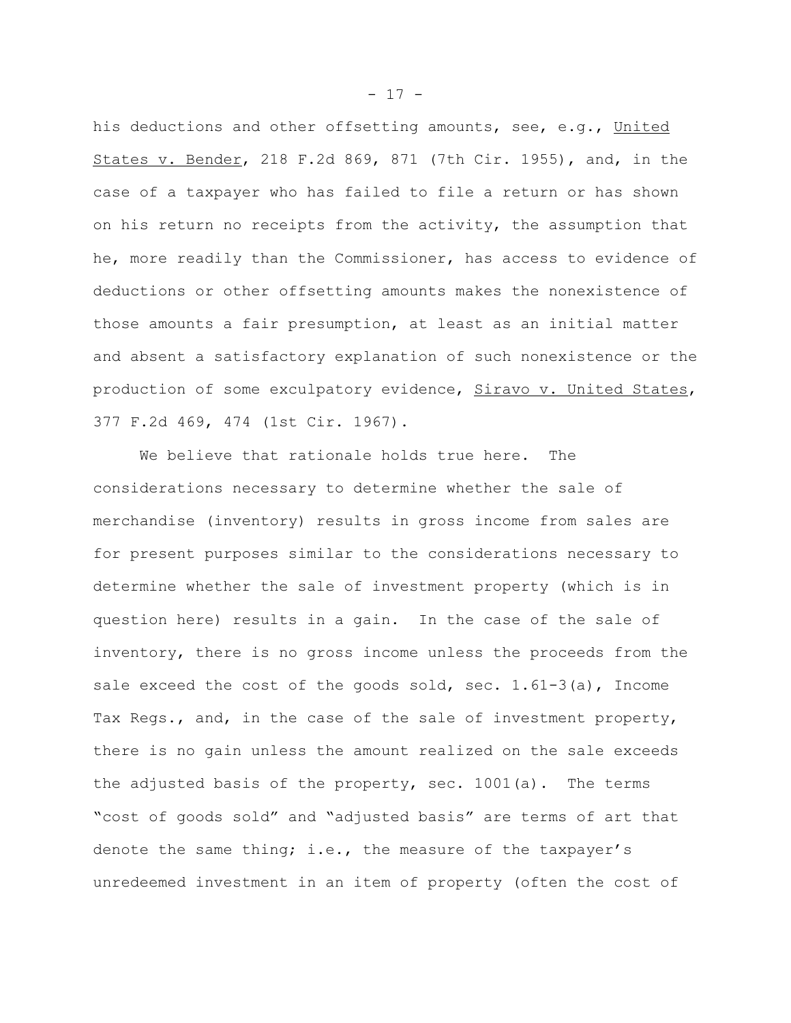his deductions and other offsetting amounts, see, e.g., United States v. Bender, 218 F.2d 869, 871 (7th Cir. 1955), and, in the case of a taxpayer who has failed to file a return or has shown on his return no receipts from the activity, the assumption that he, more readily than the Commissioner, has access to evidence of deductions or other offsetting amounts makes the nonexistence of those amounts a fair presumption, at least as an initial matter and absent a satisfactory explanation of such nonexistence or the production of some exculpatory evidence, Siravo v. United States, 377 F.2d 469, 474 (1st Cir. 1967).

We believe that rationale holds true here. The considerations necessary to determine whether the sale of merchandise (inventory) results in gross income from sales are for present purposes similar to the considerations necessary to determine whether the sale of investment property (which is in question here) results in a gain. In the case of the sale of inventory, there is no gross income unless the proceeds from the sale exceed the cost of the goods sold, sec.  $1.61-3(a)$ , Income Tax Regs., and, in the case of the sale of investment property, there is no gain unless the amount realized on the sale exceeds the adjusted basis of the property, sec. 1001(a). The terms "cost of goods sold" and "adjusted basis" are terms of art that denote the same thing; i.e., the measure of the taxpayer's unredeemed investment in an item of property (often the cost of

 $- 17 -$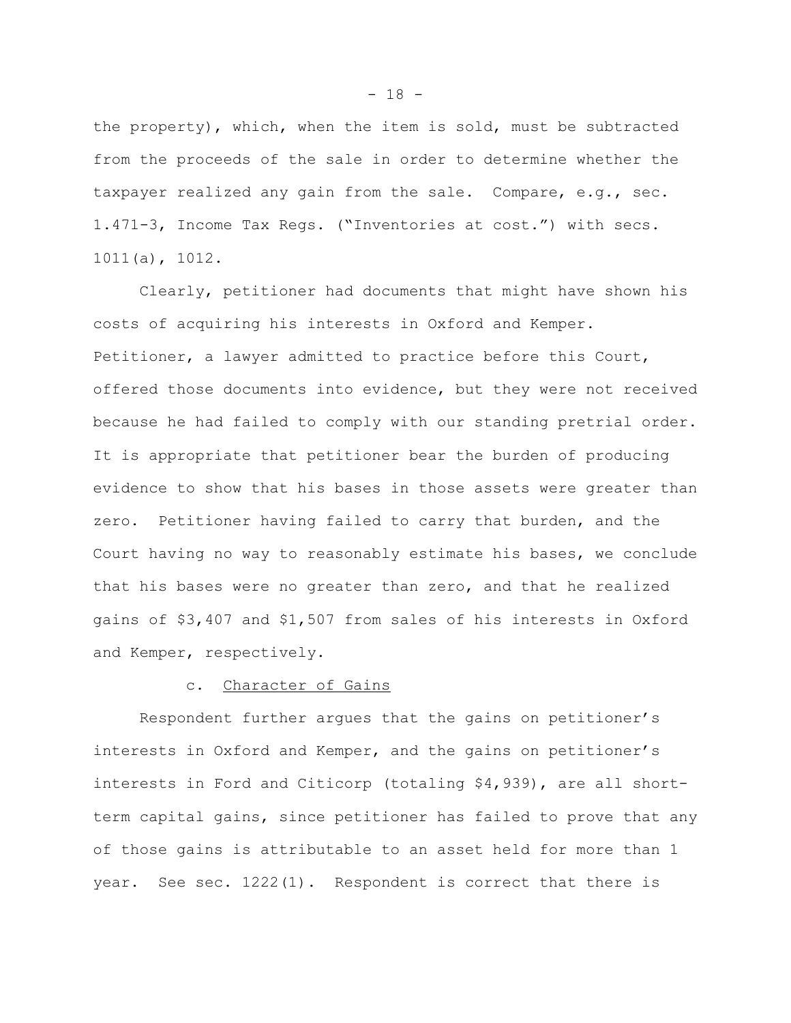the property), which, when the item is sold, must be subtracted from the proceeds of the sale in order to determine whether the taxpayer realized any gain from the sale. Compare, e.g., sec. 1.471-3, Income Tax Regs. ("Inventories at cost.") with secs. 1011(a), 1012.

Clearly, petitioner had documents that might have shown his costs of acquiring his interests in Oxford and Kemper. Petitioner, a lawyer admitted to practice before this Court, offered those documents into evidence, but they were not received because he had failed to comply with our standing pretrial order. It is appropriate that petitioner bear the burden of producing evidence to show that his bases in those assets were greater than zero. Petitioner having failed to carry that burden, and the Court having no way to reasonably estimate his bases, we conclude that his bases were no greater than zero, and that he realized gains of \$3,407 and \$1,507 from sales of his interests in Oxford and Kemper, respectively.

#### c. Character of Gains

Respondent further argues that the gains on petitioner's interests in Oxford and Kemper, and the gains on petitioner's interests in Ford and Citicorp (totaling \$4,939), are all shortterm capital gains, since petitioner has failed to prove that any of those gains is attributable to an asset held for more than 1 year. See sec. 1222(1). Respondent is correct that there is

 $- 18 -$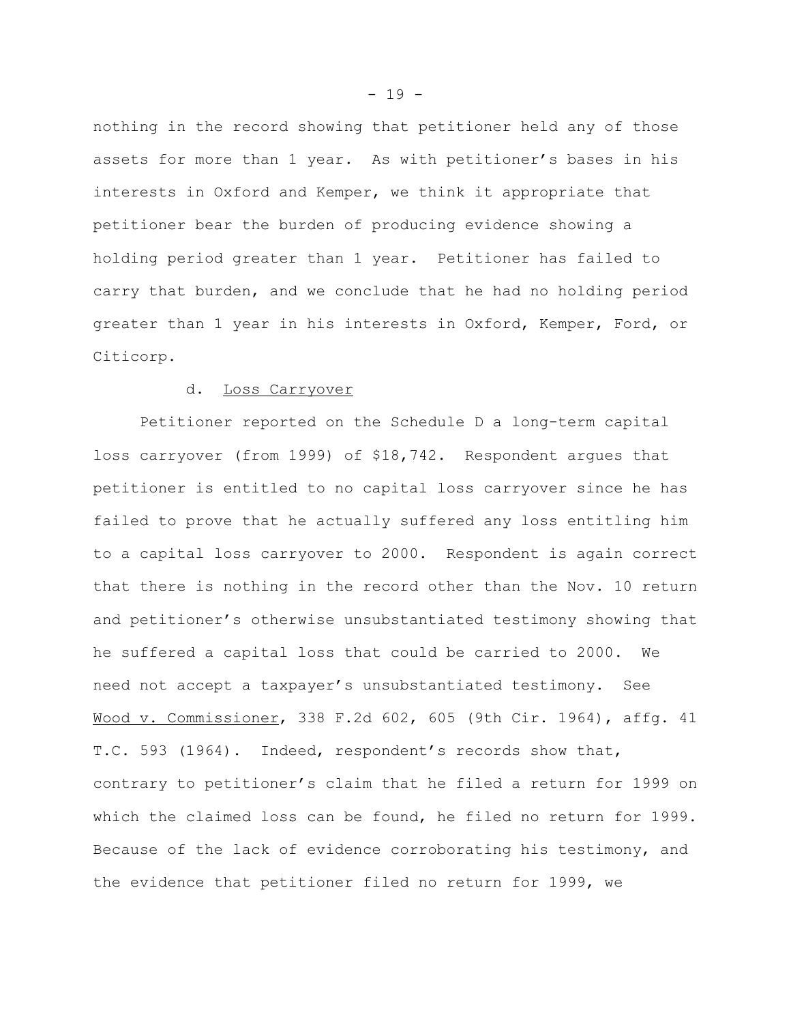nothing in the record showing that petitioner held any of those assets for more than 1 year. As with petitioner's bases in his interests in Oxford and Kemper, we think it appropriate that petitioner bear the burden of producing evidence showing a holding period greater than 1 year. Petitioner has failed to carry that burden, and we conclude that he had no holding period greater than 1 year in his interests in Oxford, Kemper, Ford, or Citicorp.

### d. Loss Carryover

Petitioner reported on the Schedule D a long-term capital loss carryover (from 1999) of \$18,742. Respondent argues that petitioner is entitled to no capital loss carryover since he has failed to prove that he actually suffered any loss entitling him to a capital loss carryover to 2000. Respondent is again correct that there is nothing in the record other than the Nov. 10 return and petitioner's otherwise unsubstantiated testimony showing that he suffered a capital loss that could be carried to 2000. We need not accept a taxpayer's unsubstantiated testimony. See Wood v. Commissioner, 338 F.2d 602, 605 (9th Cir. 1964), affg. 41 T.C. 593 (1964). Indeed, respondent's records show that, contrary to petitioner's claim that he filed a return for 1999 on which the claimed loss can be found, he filed no return for 1999. Because of the lack of evidence corroborating his testimony, and the evidence that petitioner filed no return for 1999, we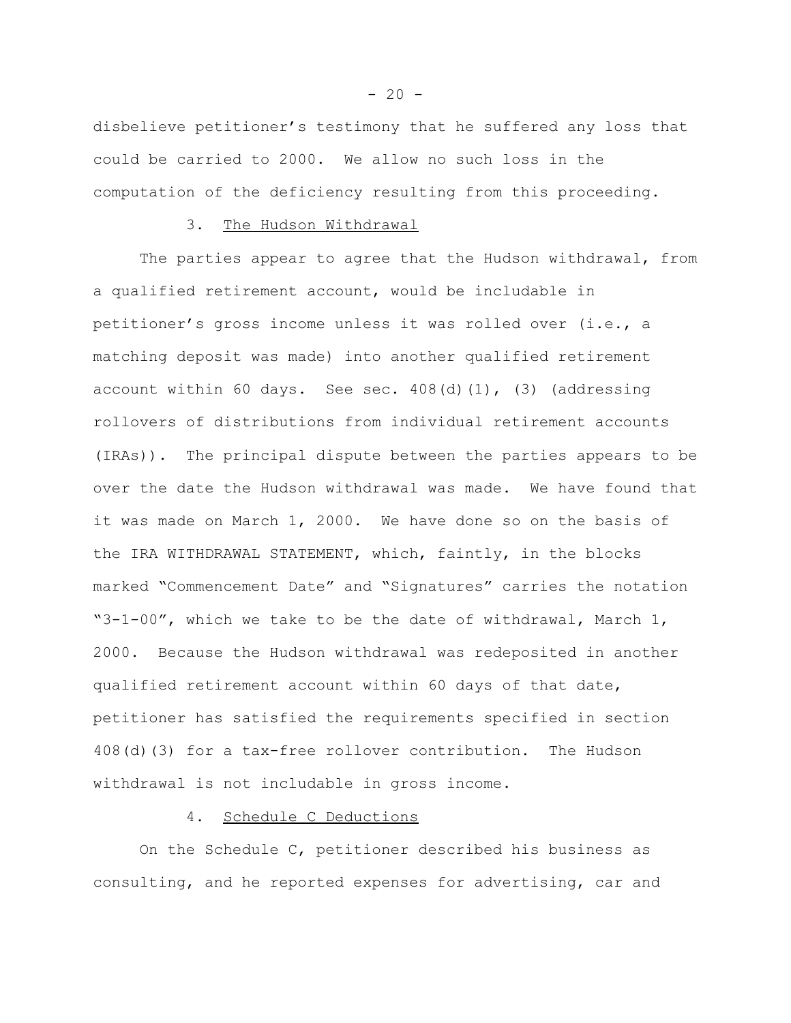disbelieve petitioner's testimony that he suffered any loss that could be carried to 2000. We allow no such loss in the computation of the deficiency resulting from this proceeding.

#### 3. The Hudson Withdrawal

The parties appear to agree that the Hudson withdrawal, from a qualified retirement account, would be includable in petitioner's gross income unless it was rolled over (i.e., a matching deposit was made) into another qualified retirement account within 60 days. See sec.  $408(d)(1)$ , (3) (addressing rollovers of distributions from individual retirement accounts (IRAs)). The principal dispute between the parties appears to be over the date the Hudson withdrawal was made. We have found that it was made on March 1, 2000. We have done so on the basis of the IRA WITHDRAWAL STATEMENT, which, faintly, in the blocks marked "Commencement Date" and "Signatures" carries the notation "3-1-00", which we take to be the date of withdrawal, March 1, 2000. Because the Hudson withdrawal was redeposited in another qualified retirement account within 60 days of that date, petitioner has satisfied the requirements specified in section 408(d)(3) for a tax-free rollover contribution. The Hudson withdrawal is not includable in gross income.

### 4. Schedule C Deductions

On the Schedule C, petitioner described his business as consulting, and he reported expenses for advertising, car and

 $-20 -$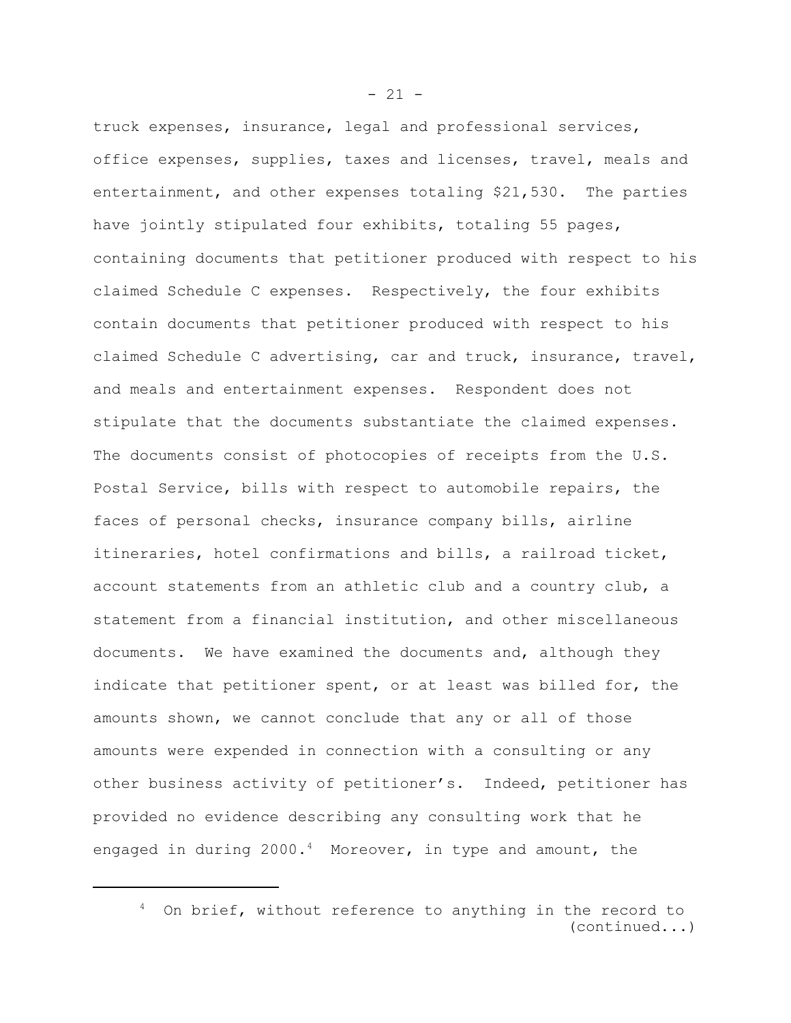truck expenses, insurance, legal and professional services, office expenses, supplies, taxes and licenses, travel, meals and entertainment, and other expenses totaling \$21,530. The parties have jointly stipulated four exhibits, totaling 55 pages, containing documents that petitioner produced with respect to his claimed Schedule C expenses. Respectively, the four exhibits contain documents that petitioner produced with respect to his claimed Schedule C advertising, car and truck, insurance, travel, and meals and entertainment expenses. Respondent does not stipulate that the documents substantiate the claimed expenses. The documents consist of photocopies of receipts from the U.S. Postal Service, bills with respect to automobile repairs, the faces of personal checks, insurance company bills, airline itineraries, hotel confirmations and bills, a railroad ticket, account statements from an athletic club and a country club, a statement from a financial institution, and other miscellaneous documents. We have examined the documents and, although they indicate that petitioner spent, or at least was billed for, the amounts shown, we cannot conclude that any or all of those amounts were expended in connection with a consulting or any other business activity of petitioner's. Indeed, petitioner has provided no evidence describing any consulting work that he engaged in during 2000.4 Moreover, in type and amount, the

 $- 21 -$ 

<sup>&</sup>lt;sup>4</sup> On brief, without reference to anything in the record to (continued...)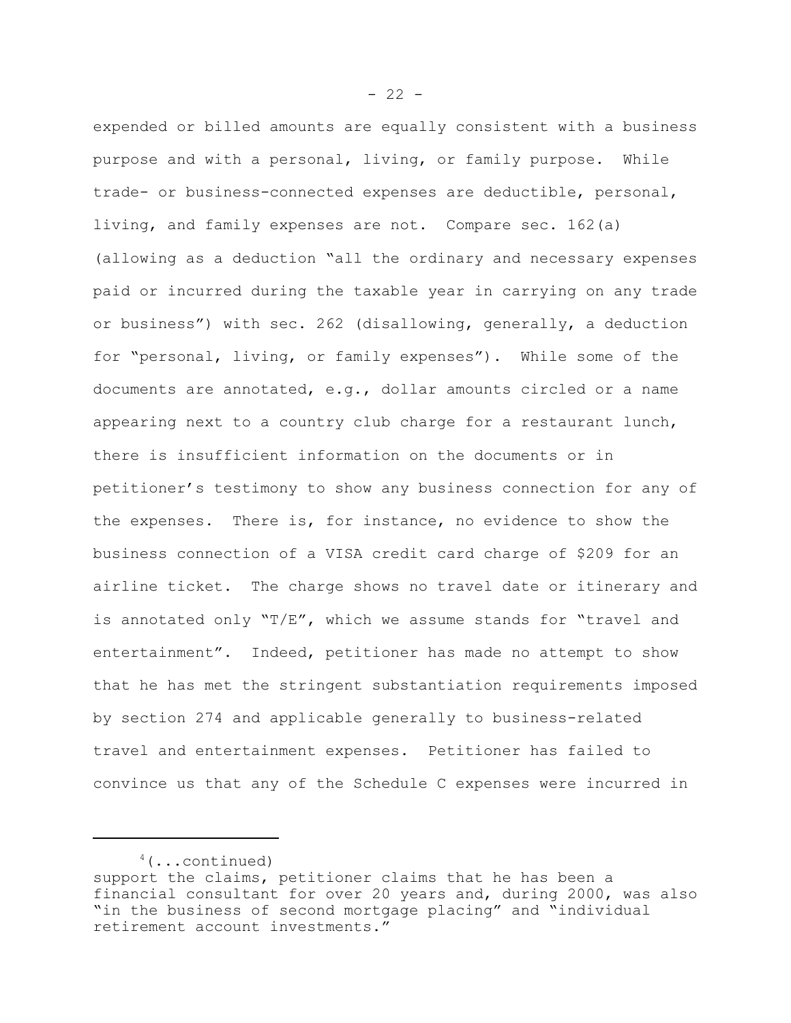expended or billed amounts are equally consistent with a business purpose and with a personal, living, or family purpose. While trade- or business-connected expenses are deductible, personal, living, and family expenses are not. Compare sec. 162(a) (allowing as a deduction "all the ordinary and necessary expenses paid or incurred during the taxable year in carrying on any trade or business") with sec. 262 (disallowing, generally, a deduction for "personal, living, or family expenses"). While some of the documents are annotated, e.g., dollar amounts circled or a name appearing next to a country club charge for a restaurant lunch, there is insufficient information on the documents or in petitioner's testimony to show any business connection for any of the expenses. There is, for instance, no evidence to show the business connection of a VISA credit card charge of \$209 for an airline ticket. The charge shows no travel date or itinerary and is annotated only "T/E", which we assume stands for "travel and entertainment". Indeed, petitioner has made no attempt to show that he has met the stringent substantiation requirements imposed by section 274 and applicable generally to business-related travel and entertainment expenses. Petitioner has failed to convince us that any of the Schedule C expenses were incurred in

 $4$ (...continued)

support the claims, petitioner claims that he has been a financial consultant for over 20 years and, during 2000, was also "in the business of second mortgage placing" and "individual retirement account investments."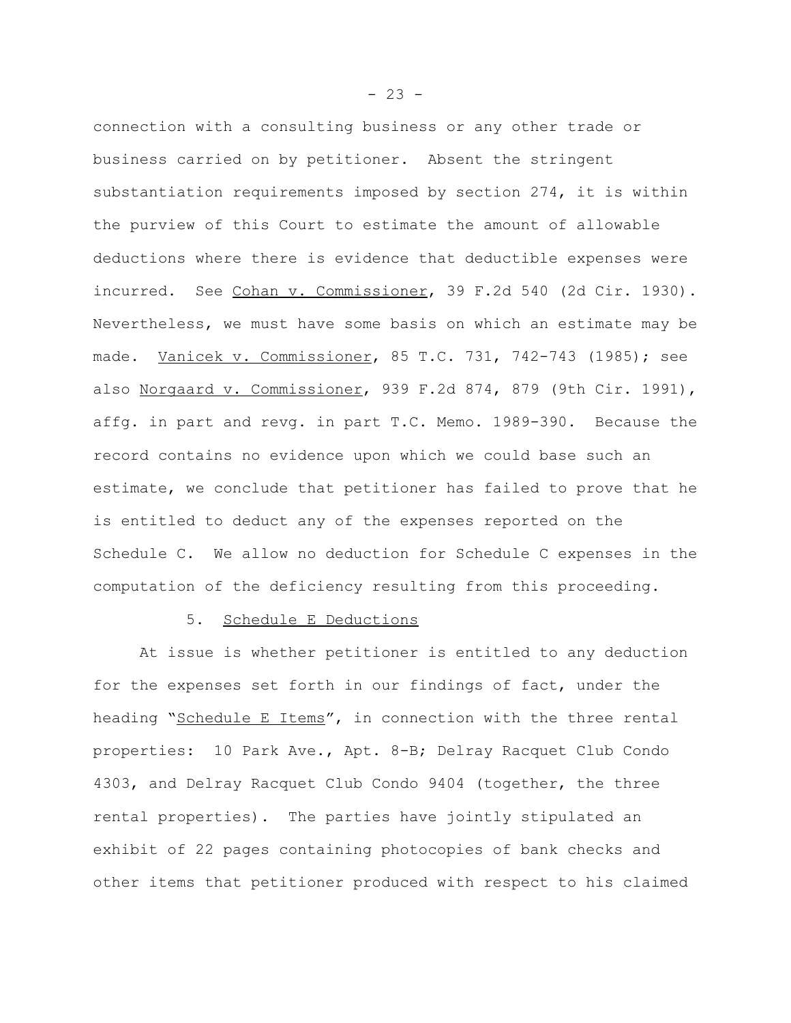connection with a consulting business or any other trade or business carried on by petitioner. Absent the stringent substantiation requirements imposed by section 274, it is within the purview of this Court to estimate the amount of allowable deductions where there is evidence that deductible expenses were incurred. See Cohan v. Commissioner, 39 F.2d 540 (2d Cir. 1930). Nevertheless, we must have some basis on which an estimate may be made. Vanicek v. Commissioner, 85 T.C. 731, 742-743 (1985); see also Norgaard v. Commissioner, 939 F.2d 874, 879 (9th Cir. 1991), affg. in part and revg. in part T.C. Memo. 1989-390. Because the record contains no evidence upon which we could base such an estimate, we conclude that petitioner has failed to prove that he is entitled to deduct any of the expenses reported on the Schedule C. We allow no deduction for Schedule C expenses in the computation of the deficiency resulting from this proceeding.

### 5. Schedule E Deductions

At issue is whether petitioner is entitled to any deduction for the expenses set forth in our findings of fact, under the heading "Schedule E Items", in connection with the three rental properties: 10 Park Ave., Apt. 8-B; Delray Racquet Club Condo 4303, and Delray Racquet Club Condo 9404 (together, the three rental properties). The parties have jointly stipulated an exhibit of 22 pages containing photocopies of bank checks and other items that petitioner produced with respect to his claimed

 $- 23 -$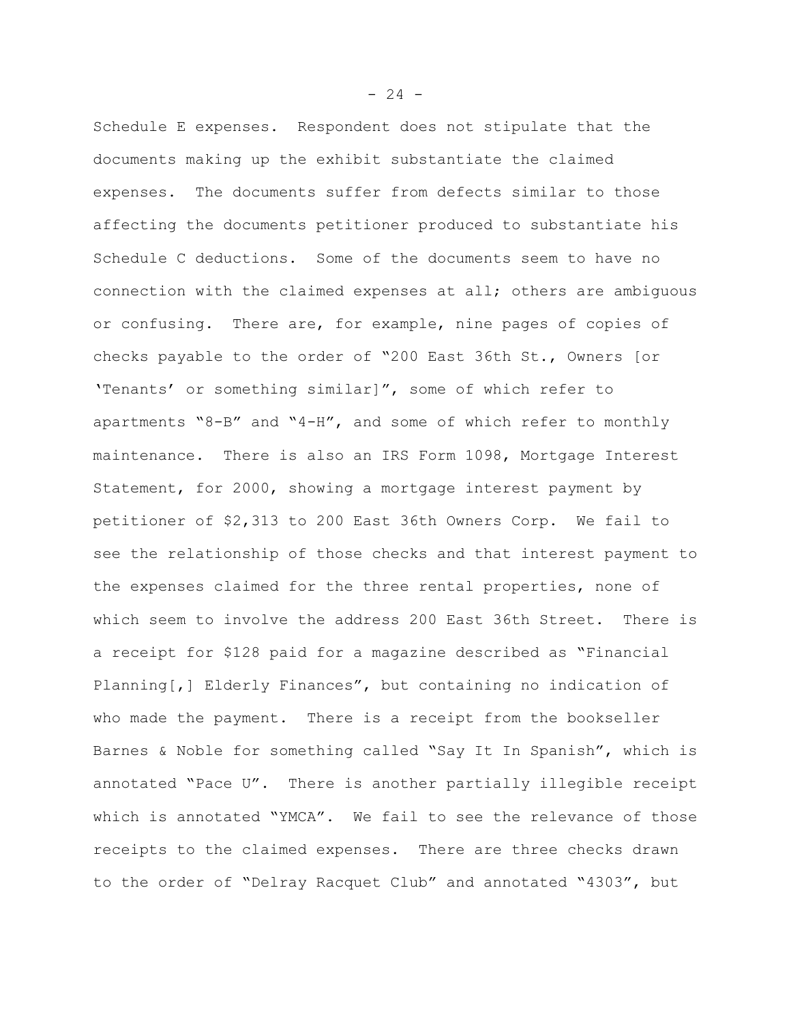Schedule E expenses. Respondent does not stipulate that the documents making up the exhibit substantiate the claimed expenses. The documents suffer from defects similar to those affecting the documents petitioner produced to substantiate his Schedule C deductions. Some of the documents seem to have no connection with the claimed expenses at all; others are ambiguous or confusing. There are, for example, nine pages of copies of checks payable to the order of "200 East 36th St., Owners [or 'Tenants' or something similar]", some of which refer to apartments "8-B" and "4-H", and some of which refer to monthly maintenance. There is also an IRS Form 1098, Mortgage Interest Statement, for 2000, showing a mortgage interest payment by petitioner of \$2,313 to 200 East 36th Owners Corp. We fail to see the relationship of those checks and that interest payment to the expenses claimed for the three rental properties, none of which seem to involve the address 200 East 36th Street. There is a receipt for \$128 paid for a magazine described as "Financial Planning[,] Elderly Finances", but containing no indication of who made the payment. There is a receipt from the bookseller Barnes & Noble for something called "Say It In Spanish", which is annotated "Pace U". There is another partially illegible receipt which is annotated "YMCA". We fail to see the relevance of those receipts to the claimed expenses. There are three checks drawn to the order of "Delray Racquet Club" and annotated "4303", but

 $- 24 -$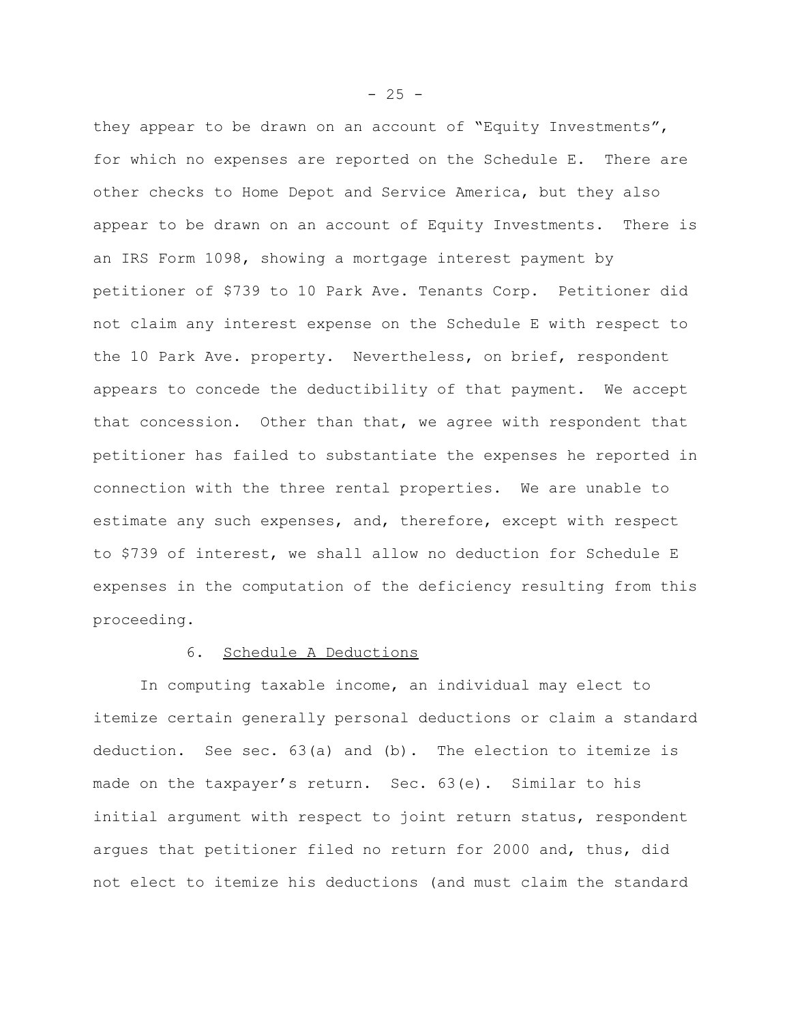they appear to be drawn on an account of "Equity Investments", for which no expenses are reported on the Schedule E. There are other checks to Home Depot and Service America, but they also appear to be drawn on an account of Equity Investments. There is an IRS Form 1098, showing a mortgage interest payment by petitioner of \$739 to 10 Park Ave. Tenants Corp. Petitioner did not claim any interest expense on the Schedule E with respect to the 10 Park Ave. property. Nevertheless, on brief, respondent appears to concede the deductibility of that payment. We accept that concession. Other than that, we agree with respondent that petitioner has failed to substantiate the expenses he reported in connection with the three rental properties. We are unable to estimate any such expenses, and, therefore, except with respect to \$739 of interest, we shall allow no deduction for Schedule E expenses in the computation of the deficiency resulting from this proceeding.

### 6. Schedule A Deductions

In computing taxable income, an individual may elect to itemize certain generally personal deductions or claim a standard deduction. See sec. 63(a) and (b). The election to itemize is made on the taxpayer's return. Sec. 63(e). Similar to his initial argument with respect to joint return status, respondent argues that petitioner filed no return for 2000 and, thus, did not elect to itemize his deductions (and must claim the standard

 $- 25 -$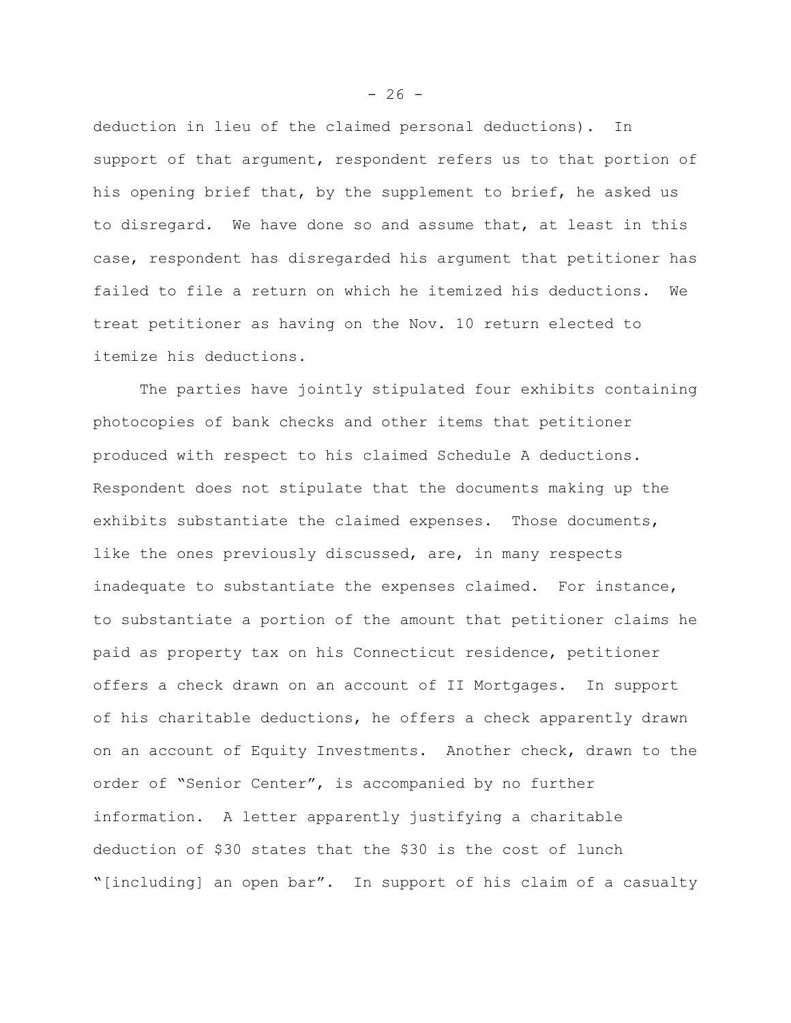deduction in lieu of the claimed personal deductions). In support of that argument, respondent refers us to that portion of his opening brief that, by the supplement to brief, he asked us to disregard. We have done so and assume that, at least in this case, respondent has disregarded his argument that petitioner has failed to file a return on which he itemized his deductions. We treat petitioner as having on the Nov. 10 return elected to itemize his deductions.

The parties have jointly stipulated four exhibits containing photocopies of bank checks and other items that petitioner produced with respect to his claimed Schedule A deductions. Respondent does not stipulate that the documents making up the exhibits substantiate the claimed expenses. Those documents, like the ones previously discussed, are, in many respects inadequate to substantiate the expenses claimed. For instance, to substantiate a portion of the amount that petitioner claims he paid as property tax on his Connecticut residence, petitioner offers a check drawn on an account of II Mortgages. In support of his charitable deductions, he offers a check apparently drawn on an account of Equity Investments. Another check, drawn to the order of "Senior Center", is accompanied by no further information. A letter apparently justifying a charitable deduction of \$30 states that the \$30 is the cost of lunch "[including] an open bar". In support of his claim of a casualty

 $-26 -$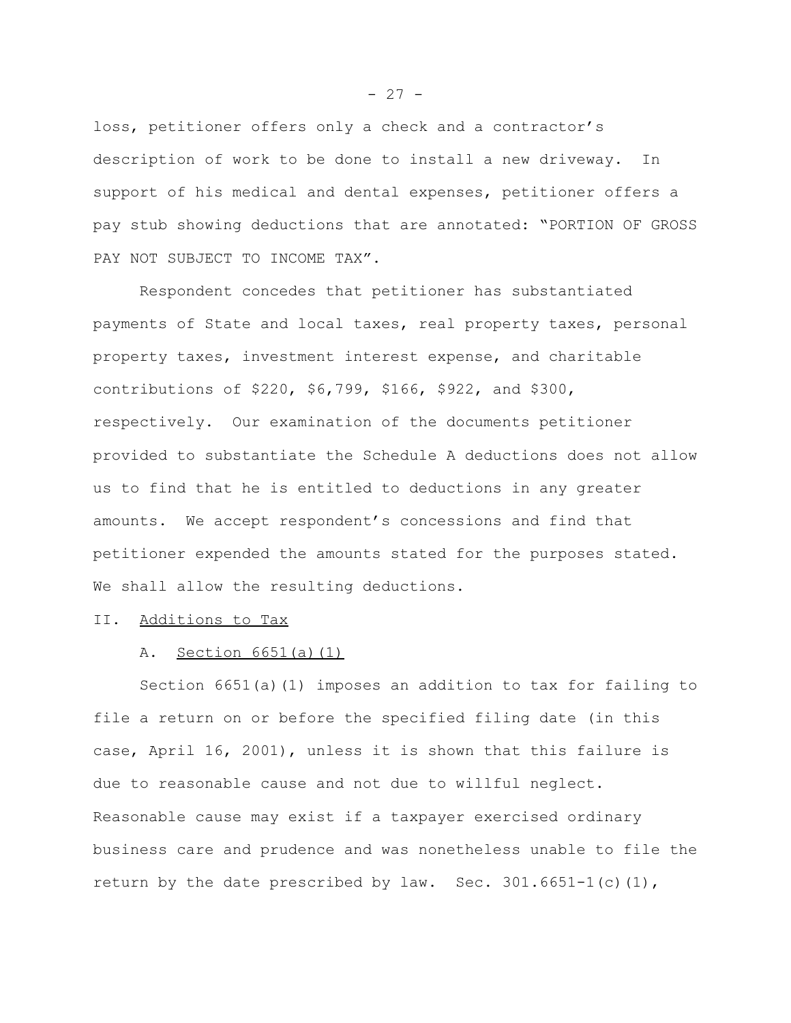loss, petitioner offers only a check and a contractor's description of work to be done to install a new driveway. In support of his medical and dental expenses, petitioner offers a pay stub showing deductions that are annotated: "PORTION OF GROSS PAY NOT SUBJECT TO INCOME TAX".

Respondent concedes that petitioner has substantiated payments of State and local taxes, real property taxes, personal property taxes, investment interest expense, and charitable contributions of \$220, \$6,799, \$166, \$922, and \$300, respectively. Our examination of the documents petitioner provided to substantiate the Schedule A deductions does not allow us to find that he is entitled to deductions in any greater amounts. We accept respondent's concessions and find that petitioner expended the amounts stated for the purposes stated. We shall allow the resulting deductions.

### II. Additions to Tax

### A. Section 6651(a)(1)

Section 6651(a)(1) imposes an addition to tax for failing to file a return on or before the specified filing date (in this case, April 16, 2001), unless it is shown that this failure is due to reasonable cause and not due to willful neglect. Reasonable cause may exist if a taxpayer exercised ordinary business care and prudence and was nonetheless unable to file the return by the date prescribed by law. Sec.  $301.6651-1(c)(1)$ ,

 $- 27 -$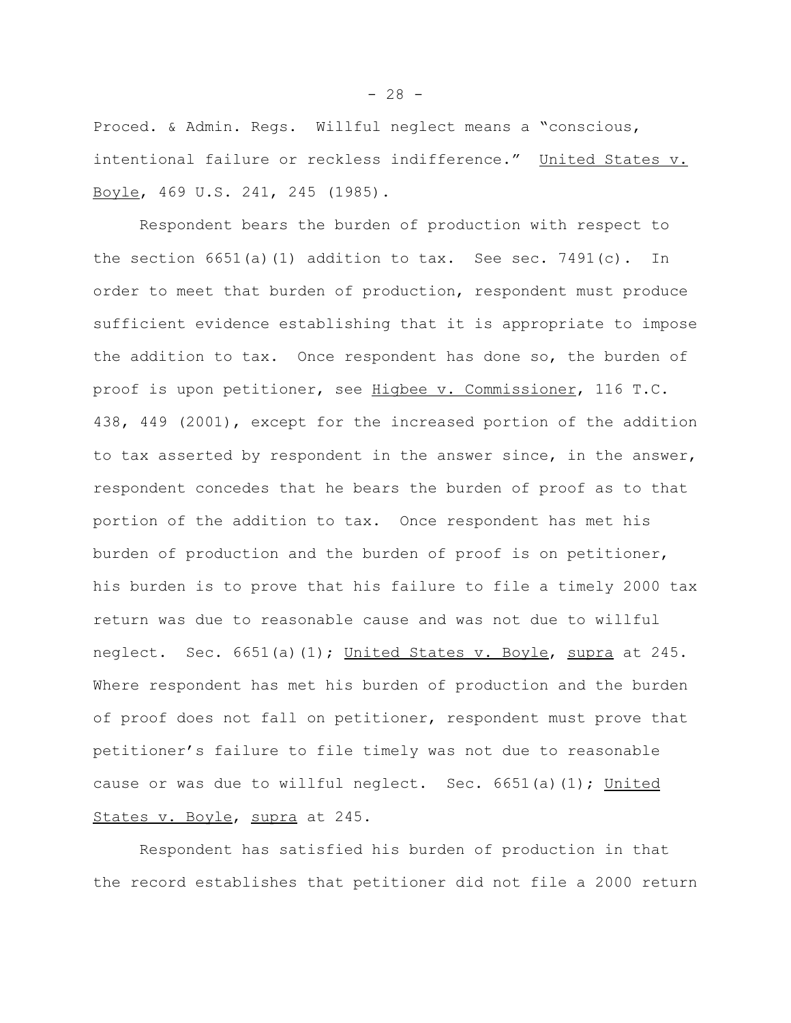Proced. & Admin. Regs. Willful neglect means a "conscious, intentional failure or reckless indifference." United States v. Boyle, 469 U.S. 241, 245 (1985).

Respondent bears the burden of production with respect to the section  $6651(a)(1)$  addition to tax. See sec. 7491(c). In order to meet that burden of production, respondent must produce sufficient evidence establishing that it is appropriate to impose the addition to tax. Once respondent has done so, the burden of proof is upon petitioner, see Higbee v. Commissioner, 116 T.C. 438, 449 (2001), except for the increased portion of the addition to tax asserted by respondent in the answer since, in the answer, respondent concedes that he bears the burden of proof as to that portion of the addition to tax. Once respondent has met his burden of production and the burden of proof is on petitioner, his burden is to prove that his failure to file a timely 2000 tax return was due to reasonable cause and was not due to willful neglect. Sec. 6651(a)(1); United States v. Boyle, supra at 245. Where respondent has met his burden of production and the burden of proof does not fall on petitioner, respondent must prove that petitioner's failure to file timely was not due to reasonable cause or was due to willful neglect. Sec.  $6651(a)(1)$ ; United States v. Boyle, supra at 245.

Respondent has satisfied his burden of production in that the record establishes that petitioner did not file a 2000 return

 $- 28 -$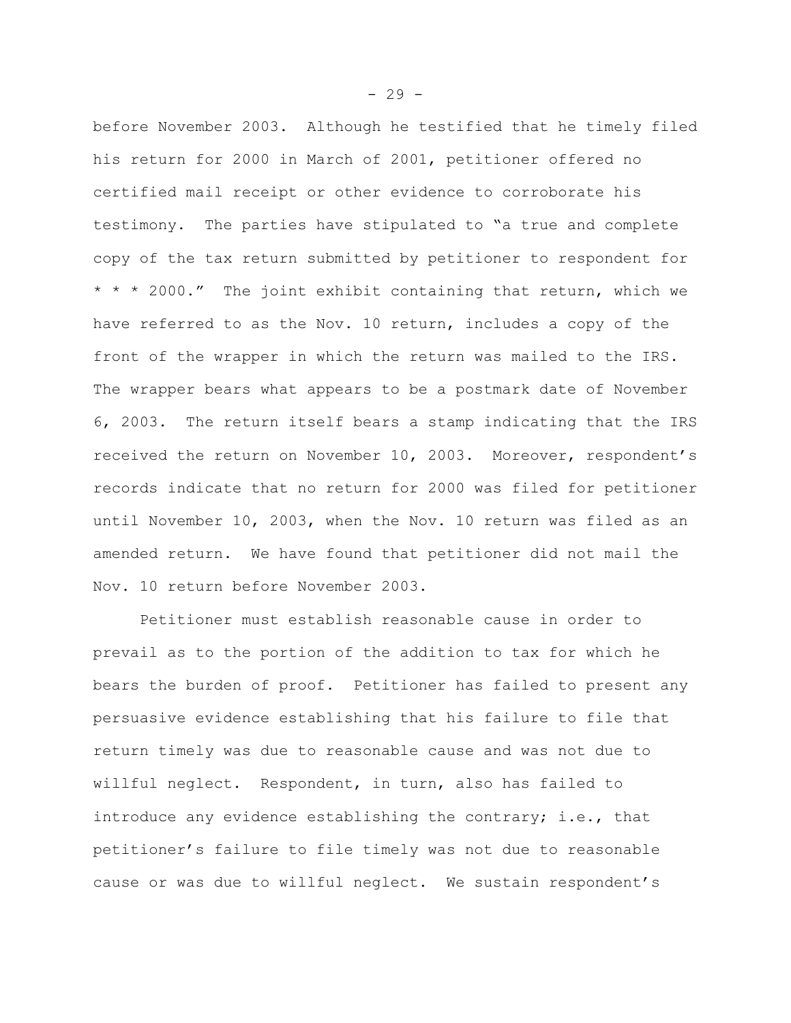before November 2003. Although he testified that he timely filed his return for 2000 in March of 2001, petitioner offered no certified mail receipt or other evidence to corroborate his testimony. The parties have stipulated to "a true and complete copy of the tax return submitted by petitioner to respondent for \* \* \* 2000." The joint exhibit containing that return, which we have referred to as the Nov. 10 return, includes a copy of the front of the wrapper in which the return was mailed to the IRS. The wrapper bears what appears to be a postmark date of November 6, 2003. The return itself bears a stamp indicating that the IRS received the return on November 10, 2003. Moreover, respondent's records indicate that no return for 2000 was filed for petitioner until November 10, 2003, when the Nov. 10 return was filed as an amended return. We have found that petitioner did not mail the Nov. 10 return before November 2003.

Petitioner must establish reasonable cause in order to prevail as to the portion of the addition to tax for which he bears the burden of proof. Petitioner has failed to present any persuasive evidence establishing that his failure to file that return timely was due to reasonable cause and was not due to willful neglect. Respondent, in turn, also has failed to introduce any evidence establishing the contrary; i.e., that petitioner's failure to file timely was not due to reasonable cause or was due to willful neglect. We sustain respondent's

 $-29 -$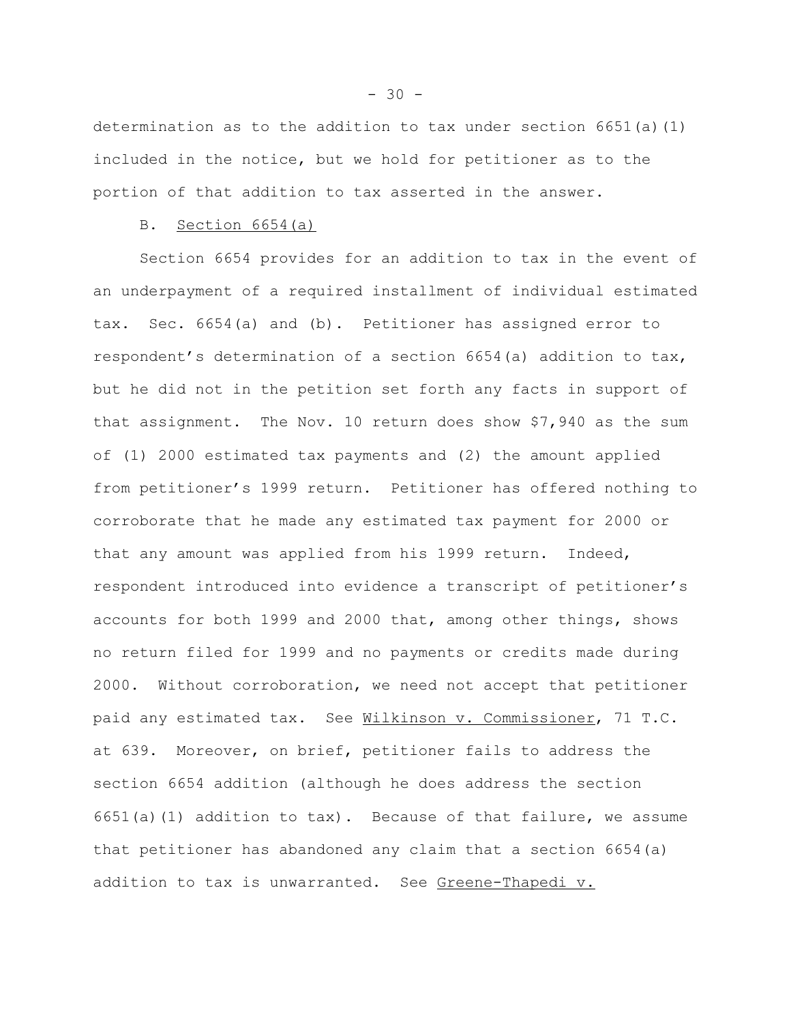determination as to the addition to tax under section  $6651(a)(1)$ included in the notice, but we hold for petitioner as to the portion of that addition to tax asserted in the answer.

#### B. Section 6654(a)

Section 6654 provides for an addition to tax in the event of an underpayment of a required installment of individual estimated tax. Sec. 6654(a) and (b). Petitioner has assigned error to respondent's determination of a section 6654(a) addition to tax, but he did not in the petition set forth any facts in support of that assignment. The Nov. 10 return does show \$7,940 as the sum of (1) 2000 estimated tax payments and (2) the amount applied from petitioner's 1999 return. Petitioner has offered nothing to corroborate that he made any estimated tax payment for 2000 or that any amount was applied from his 1999 return. Indeed, respondent introduced into evidence a transcript of petitioner's accounts for both 1999 and 2000 that, among other things, shows no return filed for 1999 and no payments or credits made during 2000. Without corroboration, we need not accept that petitioner paid any estimated tax. See Wilkinson v. Commissioner, 71 T.C. at 639. Moreover, on brief, petitioner fails to address the section 6654 addition (although he does address the section 6651(a)(1) addition to tax). Because of that failure, we assume that petitioner has abandoned any claim that a section 6654(a) addition to tax is unwarranted. See Greene-Thapedi v.

 $-30 -$